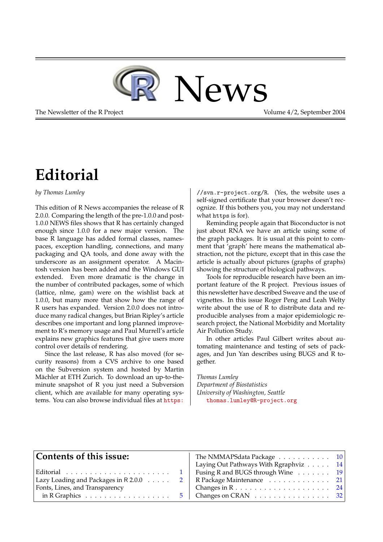

The Newsletter of the R Project **Volume 4/2**, September 2004

# **Editorial**

<span id="page-0-0"></span>*by Thomas Lumley*

This edition of R News accompanies the release of R 2.0.0. Comparing the length of the pre-1.0.0 and post-1.0.0 NEWS files shows that R has certainly changed enough since 1.0.0 for a new major version. The base R language has added formal classes, namespaces, exception handling, connections, and many packaging and QA tools, and done away with the underscore as an assignment operator. A Macintosh version has been added and the Windows GUI extended. Even more dramatic is the change in the number of contributed packages, some of which (lattice, nlme, gam) were on the wishlist back at 1.0.0, but many more that show how the range of R users has expanded. Version 2.0.0 does not introduce many radical changes, but Brian Ripley's article describes one important and long planned improvement to R's memory usage and Paul Murrell's article explains new graphics features that give users more control over details of rendering.

Since the last release, R has also moved (for security reasons) from a CVS archive to one based on the Subversion system and hosted by Martin Mächler at ETH Zurich. To download an up-to-theminute snapshot of R you just need a Subversion client, which are available for many operating systems. You can also browse individual files at [https:](https://svn.r-project.org/R)

[//svn.r-project.org/R](https://svn.r-project.org/R). (Yes, the website uses a self-signed certificate that your browser doesn't recognize. If this bothers you, you may not understand what https is for).

Reminding people again that Bioconductor is not just about RNA we have an article using some of the graph packages. It is usual at this point to comment that 'graph' here means the mathematical abstraction, not the picture, except that in this case the article is actually about pictures (graphs of graphs) showing the structure of biological pathways.

Tools for reproducible research have been an important feature of the R project. Previous issues of this newsletter have described Sweave and the use of vignettes. In this issue Roger Peng and Leah Welty write about the use of R to distribute data and reproducible analyses from a major epidemiologic research project, the National Morbidity and Mortality Air Pollution Study.

In other articles Paul Gilbert writes about automating maintenance and testing of sets of packages, and Jun Yan describes using BUGS and R together.

*Thomas Lumley Department of Biostatistics University of Washington, Seattle* [thomas.lumley@R-project.org](mailto:thomas.lumley@R-project.org)

| Contents of this issue:                           | The NMMAPSdata Package 10                                                                                              |  |
|---------------------------------------------------|------------------------------------------------------------------------------------------------------------------------|--|
|                                                   |                                                                                                                        |  |
|                                                   | Laying Out Pathways With Rgraphviz 14                                                                                  |  |
|                                                   | Fusing R and BUGS through Wine 19                                                                                      |  |
| Lazy Loading and Packages in $R$ 2.0.0 $\ldots$ 2 | R Package Maintenance 21                                                                                               |  |
| Fonts, Lines, and Transparency                    |                                                                                                                        |  |
|                                                   | in R Graphics $\dots \dots \dots \dots \dots \dots \dots$ 5   Changes on CRAN $\dots \dots \dots \dots \dots \dots$ 32 |  |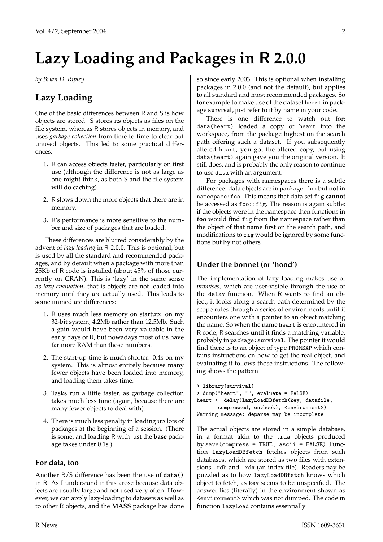# **Lazy Loading and Packages in** R **2.0.0**

<span id="page-1-0"></span>*by Brian D. Ripley*

# **Lazy Loading**

One of the basic differences between R and S is how objects are stored. S stores its objects as files on the file system, whereas R stores objects in memory, and uses *garbage collection* from time to time to clear out unused objects. This led to some practical differences:

- 1. R can access objects faster, particularly on first use (although the difference is not as large as one might think, as both S and the file system will do caching).
- 2. R slows down the more objects that there are in memory.
- 3. R's performance is more sensitive to the number and size of packages that are loaded.

These differences are blurred considerably by the advent of *lazy loading* in R 2.0.0. This is optional, but is used by all the standard and recommended packages, and by default when a package with more than 25Kb of R code is installed (about 45% of those currently on CRAN). This is 'lazy' in the same sense as *lazy evaluation*, that is objects are not loaded into memory until they are actually used. This leads to some immediate differences:

- 1. R uses much less memory on startup: on my 32-bit system, 4.2Mb rather than 12.5Mb. Such a gain would have been very valuable in the early days of R, but nowadays most of us have far more RAM than those numbers.
- 2. The start-up time is much shorter: 0.4s on my system. This is almost entirely because many fewer objects have been loaded into memory, and loading them takes time.
- 3. Tasks run a little faster, as garbage collection takes much less time (again, because there are many fewer objects to deal with).
- 4. There is much less penalty in loading up lots of packages at the beginning of a session. (There is some, and loading R with just the **base** package takes under 0.1s.)

### **For data, too**

Another R/S difference has been the use of data() in R. As I understand it this arose because data objects are usually large and not used very often. However, we can apply lazy-loading to datasets as well as to other R objects, and the **MASS** package has done so since early 2003. This is optional when installing packages in 2.0.0 (and not the default), but applies to all standard and most recommended packages. So for example to make use of the dataset heart in package **survival**, just refer to it by name in your code.

There is one difference to watch out for: data(heart) loaded a copy of heart into the workspace, from the package highest on the search path offering such a dataset. If you subsequently altered heart, you got the altered copy, but using data(heart) again gave you the original version. It still does, and is probably the only reason to continue to use data with an argument.

For packages with namespaces there is a subtle difference: data objects are in package:foo but not in namespace:foo. This means that data set fig **cannot** be accessed as foo::fig. The reason is again subtle: if the objects were in the namespace then functions in **foo** would find fig from the namespace rather than the object of that name first on the search path, and modifications to fig would be ignored by some functions but by not others.

### **Under the bonnet (or 'hood')**

The implementation of lazy loading makes use of *promises*, which are user-visible through the use of the delay function. When R wants to find an object, it looks along a search path determined by the scope rules through a series of environments until it encounters one with a pointer to an object matching the name. So when the name heart is encountered in R code, R searches until it finds a matching variable, probably in package:survival. The pointer it would find there is to an object of type PROMSXP which contains instructions on how to get the real object, and evaluating it follows those instructions. The following shows the pattern

```
> library(survival)
> dump("heart", "", evaluate = FALSE)
heart <- delay(lazyLoadDBfetch(key, datafile,
       compressed, envhook), <environment>)
Warning message: deparse may be incomplete
```
The actual objects are stored in a simple database, in a format akin to the .rda objects produced by save(compress = TRUE, ascii = FALSE). Function lazyLoadDBfetch fetches objects from such databases, which are stored as two files with extensions .rdb and .rdx (an index file). Readers nay be puzzled as to how lazyLoadDBfetch knows which object to fetch, as key seems to be unspecified. The answer lies (literally) in the environment shown as <environment> which was not dumped. The code in function lazyLoad contains essentially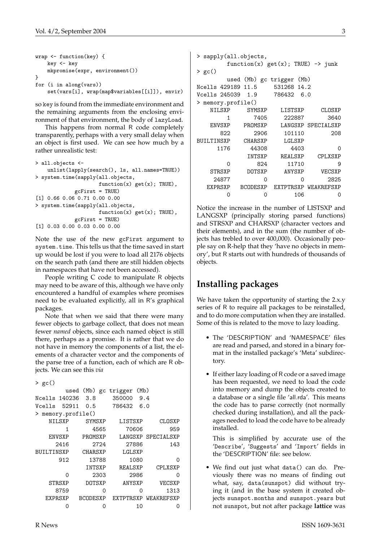```
wrap <- function(key) {
    key <- key
    mkpromise(expr, environment())
}
for (i in along(vars))
    set(vars[i], wrap(map$variables[[i]]), envir)
```
so key is found from the immediate environment and the remaining arguments from the enclosing environment of that environment, the body of lazyLoad.

This happens from normal R code completely transparently, perhaps with a very small delay when an object is first used. We can see how much by a rather unrealistic test:

```
> all.objects <-
    unlist(lapply(search(), ls, all.names=TRUE))
> system.time(sapply(all.objects,
                     function(x) get(x); TRUE),gcFirst = TRUE)
[1] 0.66 0.06 0.71 0.00 0.00
> system.time(sapply(all.objects,
                     function(x) get(x); TRUE),
             gcFirst = TRUE)
[1] 0.03 0.00 0.03 0.00 0.00
```
Note the use of the new gcFirst argument to system.time. This tells us that the time saved in start up would be lost if you were to load all 2176 objects on the search path (and there are still hidden objects in namespaces that have not been accessed).

People writing C code to manipulate R objects may need to be aware of this, although we have only encountered a handful of examples where promises need to be evaluated explicitly, all in R's graphical packages.

Note that when we said that there were many fewer objects to garbage collect, that does not mean fewer *named* objects, since each named object is still there, perhaps as a promise. It is rather that we do not have in memory the components of a list, the elements of a character vector and the components of the parse tree of a function, each of which are R objects. We can see this *via*

```
> gc()
```

|                       |       |                 |       | used (Mb) gc trigger | (Mb) |                    |
|-----------------------|-------|-----------------|-------|----------------------|------|--------------------|
| Ncells 140236         |       | 3.8             |       | 350000               | 9.4  |                    |
| Vcells                | 52911 | 0.5             |       | 786432               | 6.0  |                    |
| memory.profile()<br>≻ |       |                 |       |                      |      |                    |
| NILSXP                |       | SYMSXP          |       | LISTSXP              |      | CLOSXP             |
|                       | 1     |                 | 4565  | 70606                |      | 959                |
| <b>ENVSXP</b>         |       | PROMSXP         |       |                      |      | LANGSXP SPECIALSXP |
| 2416                  |       |                 | 2724  | 27886                |      | 143                |
| BUILTINSXP            |       | CHARSXP         |       | LGLSXP               |      |                    |
|                       | 912   |                 | 13788 |                      | 1080 | ∩                  |
|                       |       | INTSXP          |       | REALSXP              |      | CPLXSXP            |
|                       | Ω     |                 | 2303  |                      | 2986 | ი                  |
| STRSXP                |       | DOTSXP          |       | ANYSXP               |      | VECSXP             |
| 8759                  |       |                 | Ω     |                      | ∩    | 1313               |
| EXPRSXP               |       | <b>BCODESXP</b> |       | <b>F.XTPTR.SXP</b>   |      | WEAKREFSXP         |
|                       | ი     |                 | ∩     |                      | 10   | ი                  |

```
> sapply(all.objects,
      function(x) get(x); TRUE) -> junk
> gc()
      used (Mb) gc trigger (Mb)
Ncells 429189 11.5 531268 14.2
Vcells 245039 1.9
> memory.profile()
  NILSXP SYMSXP LISTSXP CLOSXP
      1 7405 222887 3640
  ENVSXP PROMSXP LANGSXP SPECIALSXP
     822 2906 101110 208
BUILTINSXP CHARSXP LGLSXP
    1176 44308 4403 0
          INTSXP REALSXP CPLXSXP
      0 824 11710 9
  STRSXP DOTSXP ANYSXP VECSXP
   24877 0 0 2825
  EXPRSXP BCODESXP EXTPTRSXP WEAKREFSXP
      0 0 106 0
```
Notice the increase in the number of LISTSXP and LANGSXP (principally storing parsed functions) and STRSXP and CHARSXP (character vectors and their elements), and in the sum (the number of objects has trebled to over 400,000). Occasionally people say on R-help that they 'have no objects in memory', but R starts out with hundreds of thousands of objects.

# **Installing packages**

We have taken the opportunity of starting the 2.x.y series of R to require all packages to be reinstalled, and to do more computation when they are installed. Some of this is related to the move to lazy loading.

- The 'DESCRIPTION' and 'NAMESPACE' files are read and parsed, and stored in a binary format in the installed package's 'Meta' subdirectory.
- If either lazy loading of R code or a saved image has been requested, we need to load the code into memory and dump the objects created to a database or a single file 'all.rda'. This means the code has to parse correctly (not normally checked during installation), and all the packages needed to load the code have to be already installed.

This is simplified by accurate use of the 'Describe', 'Suggests' and 'Import' fields in the 'DESCRIPTION' file: see below.

• We find out just what data() can do. Previously there was no means of finding out what, say, data(sunspot) did without trying it (and in the base system it created objects sunspot.months and sunspot.years but not sunspot, but not after package **lattice** was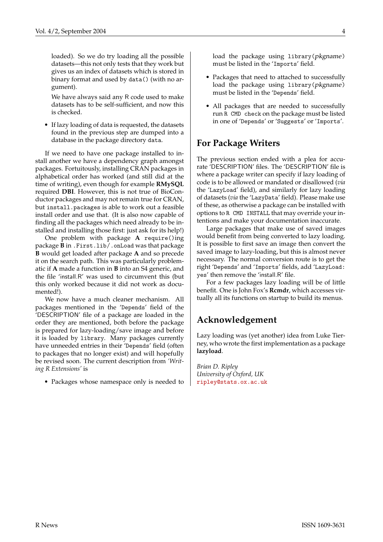loaded). So we do try loading all the possible datasets—this not only tests that they work but gives us an index of datasets which is stored in binary format and used by data() (with no argument).

We have always said any R code used to make datasets has to be self-sufficient, and now this is checked.

• If lazy loading of data is requested, the datasets found in the previous step are dumped into a database in the package directory data.

If we need to have one package installed to install another we have a dependency graph amongst packages. Fortuitously, installing CRAN packages in alphabetical order has worked (and still did at the time of writing), even though for example **RMySQL** required **DBI**. However, this is not true of BioConductor packages and may not remain true for CRAN, but install.packages is able to work out a feasible install order and use that. (It is also now capable of finding all the packages which need already to be installed and installing those first: just ask for its help!)

One problem with package **A** require()ing package **B** in .First.lib/.onLoad was that package **B** would get loaded after package **A** and so precede it on the search path. This was particularly problematic if **A** made a function in **B** into an S4 generic, and the file 'install.R' was used to circumvent this (but this only worked because it did not work as documented!).

We now have a much cleaner mechanism. All packages mentioned in the 'Depends' field of the 'DESCRIPTION' file of a package are loaded in the order they are mentioned, both before the package is prepared for lazy-loading/save image and before it is loaded by library. Many packages currently have unneeded entries in their 'Depends' field (often to packages that no longer exist) and will hopefully be revised soon. The current description from *'Writing R Extensions'* is

• Packages whose namespace only is needed to

load the package using library(pkgname) must be listed in the 'Imports' field.

- Packages that need to attached to successfully load the package using library(pkgname) must be listed in the 'Depends' field.
- All packages that are needed to successfully run R CMD check on the package must be listed in one of 'Depends' or 'Suggests' or 'Imports'.

### **For Package Writers**

The previous section ended with a plea for accurate 'DESCRIPTION' files. The 'DESCRIPTION' file is where a package writer can specify if lazy loading of code is to be allowed or mandated or disallowed (*via* the 'LazyLoad' field), and similarly for lazy loading of datasets (*via* the 'LazyData' field). Please make use of these, as otherwise a package can be installed with options to R CMD INSTALL that may override your intentions and make your documentation inaccurate.

Large packages that make use of saved images would benefit from being converted to lazy loading. It is possible to first save an image then convert the saved image to lazy-loading, but this is almost never necessary. The normal conversion route is to get the right 'Depends' and 'Imports' fields, add 'LazyLoad: yes' then remove the 'install.R' file.

For a few packages lazy loading will be of little benefit. One is John Fox's **Rcmdr**, which accesses virtually all its functions on startup to build its menus.

# **Acknowledgement**

Lazy loading was (yet another) idea from Luke Tierney, who wrote the first implementation as a package **lazyload**.

*Brian D. Ripley University of Oxford, UK* [ripley@stats.ox.ac.uk](mailto:ripley@stats.ox.ac.uk)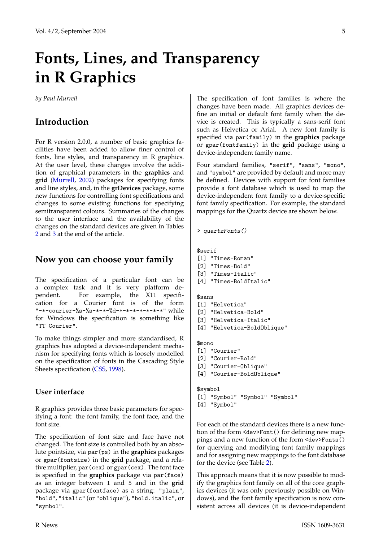# <span id="page-4-1"></span>**Fonts, Lines, and Transparency in R Graphics**

<span id="page-4-0"></span>*by Paul Murrell*

### **Introduction**

For R version 2.0.0, a number of basic graphics facilities have been added to allow finer control of fonts, line styles, and transparency in R graphics. At the user level, these changes involve the addition of graphical parameters in the **graphics** and **grid** [\(Murrell,](#page-7-0) [2002\)](#page-7-0) packages for specifying fonts and line styles, and, in the **grDevices** package, some new functions for controlling font specifications and changes to some existing functions for specifying semitransparent colours. Summaries of the changes to the user interface and the availability of the changes on the standard devices are given in Tables [2](#page-8-0) and [3](#page-8-1) at the end of the article.

### **Now you can choose your family**

The specification of a particular font can be a complex task and it is very platform dependent. For example, the X11 specification for a Courier font is of the form "-\*-courier-%s-%s-\*-\*-%d-\*-\*-\*-\*-\*-\*-\*" while for Windows the specification is something like "TT Courier".

To make things simpler and more standardised, R graphics has adopted a device-independent mechanism for specifying fonts which is loosely modelled on the specification of fonts in the Cascading Style Sheets specification [\(CSS,](#page-7-1) [1998\)](#page-7-1).

### **User interface**

R graphics provides three basic parameters for specifying a font: the font family, the font face, and the font size.

The specification of font size and face have not changed. The font size is controlled both by an absolute pointsize, via par(ps) in the **graphics** packages or gpar(fontsize) in the **grid** package, and a relative multiplier, par(cex) or gpar(cex). The font face is specified in the **graphics** package via par(face) as an integer between 1 and 5 and in the **grid** package via gpar(fontface) as a string: "plain", "bold", "italic" (or "oblique"), "bold.italic", or "symbol".

The specification of font families is where the changes have been made. All graphics devices define an initial or default font family when the device is created. This is typically a sans-serif font such as Helvetica or Arial. A new font family is specified via par(family) in the **graphics** package or gpar(fontfamily) in the **grid** package using a device-independent family name.

Four standard families, "serif", "sans", "mono", and "symbol" are provided by default and more may be defined. Devices with support for font families provide a font database which is used to map the device-independent font family to a device-specific font family specification. For example, the standard mappings for the Quartz device are shown below.

```
> quartzFonts()
```

```
$serif
[1] "Times-Roman"
[2] "Times-Bold"
[3] "Times-Italic"
[4] "Times-BoldItalic"
$sans
[1] "Helvetica"
[2] "Helvetica-Bold"
[3] "Helvetica-Italic"
[4] "Helvetica-BoldOblique"
$mono
[1] "Courier"
[2] "Courier-Bold"
[3] "Courier-Oblique"
[4] "Courier-BoldOblique"
$symbol
[1] "Symbol" "Symbol" "Symbol"
[4] "Symbol"
```
For each of the standard devices there is a new function of the form <dev>Font() for defining new mappings and a new function of the form <dev>Fonts() for querying and modifying font family mappings and for assigning new mappings to the font database for the device (see Table [2\)](#page-8-0).

This approach means that it is now possible to modify the graphics font family on all of the core graphics devices (it was only previously possible on Windows), and the font family specification is now consistent across all devices (it is device-independent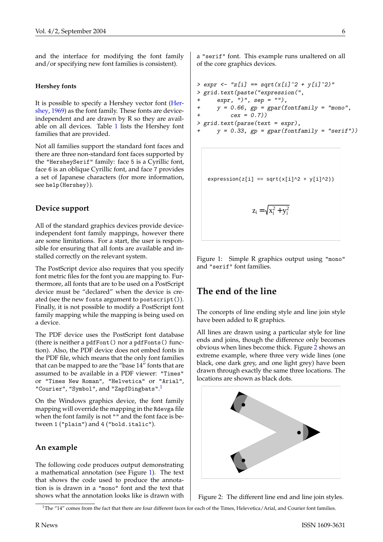<span id="page-5-3"></span>and the interface for modifying the font family and/or specifying new font families is consistent).

#### **Hershey fonts**

It is possible to specify a Hershey vector font [\(Her](#page-7-2)[shey,](#page-7-2) [1969\)](#page-7-2) as the font family. These fonts are deviceindependent and are drawn by R so they are available on all devices. Table [1](#page-6-0) lists the Hershey font families that are provided.

Not all families support the standard font faces and there are three non-standard font faces supported by the "HersheySerif" family: face 5 is a Cyrillic font, face 6 is an oblique Cyrillic font, and face 7 provides a set of Japanese characters (for more information, see help(Hershey)).

#### **Device support**

All of the standard graphics devices provide deviceindependent font family mappings, however there are some limitations. For a start, the user is responsible for ensuring that all fonts are available and installed correctly on the relevant system.

The PostScript device also requires that you specify font metric files for the font you are mapping to. Furthermore, all fonts that are to be used on a PostScript device must be "declared" when the device is created (see the new fonts argument to postscript()). Finally, it is not possible to modify a PostScript font family mapping while the mapping is being used on a device.

The PDF device uses the PostScript font database (there is neither a pdfFont() nor a pdfFonts() function). Also, the PDF device does not embed fonts in the PDF file, which means that the only font families that can be mapped to are the "base 14" fonts that are assumed to be available in a PDF viewer: "Times" or "Times New Roman", "Helvetica" or "Arial", "Courier", "Symbol", and "ZapfDingbats".<sup>[1](#page-5-0)</sup>

On the Windows graphics device, the font family mapping will override the mapping in the Rdevga file when the font family is not "" and the font face is between 1 ("plain") and 4 ("bold.italic").

#### **An example**

The following code produces output demonstrating a mathematical annotation (see Figure [1\)](#page-5-1). The text that shows the code used to produce the annotation is is drawn in a "mono" font and the text that shows what the annotation looks like is drawn with a "serif" font. This example runs unaltered on all of the core graphics devices.

 $>$  expr <- "z[i] == sqrt(x[i]^2 + y[i]^2)" > grid.text(paste("expression(",  $expr, ")'', sep = "")$ , +  $y = 0.66$ ,  $gp = gpar(fontfamily = "mono",$ +  $cex = 0.7)$ > grid.text(parse(text = expr),  $y = 0.33$ ,  $gp = gpar(fontfamily = "serif"))$ 

 $expression(z[i] == sqrt(x[i]^2 + y[i]^2))$ 

$$
z_i\,{=}\,\sqrt{x_i^2\,{+}\,y_i^2}
$$

<span id="page-5-1"></span>Figure 1: Simple R graphics output using "mono" and "serif" font families.

### **The end of the line**

The concepts of line ending style and line join style have been added to R graphics.

All lines are drawn using a particular style for line ends and joins, though the difference only becomes obvious when lines become thick. Figure [2](#page-5-2) shows an extreme example, where three very wide lines (one black, one dark grey, and one light grey) have been drawn through exactly the same three locations. The locations are shown as black dots.



<span id="page-5-2"></span>Figure 2: The different line end and line join styles.

<span id="page-5-0"></span><sup>&</sup>lt;sup>1</sup>The "14" comes from the fact that there are four different faces for each of the Times, Helevetica/Arial, and Courier font families.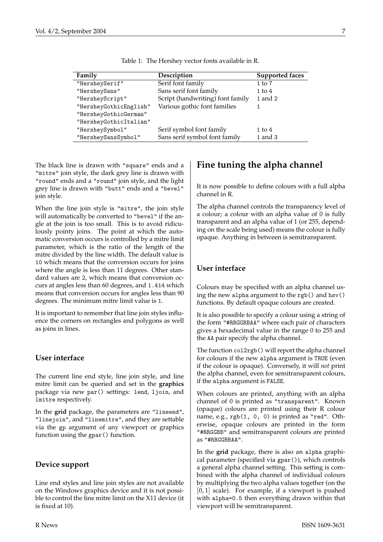<span id="page-6-0"></span>

| Family                 | Description                      | <b>Supported faces</b> |
|------------------------|----------------------------------|------------------------|
| "HersheySerif"         | Serif font family                | $1$ to $7$             |
| "HersheySans"          | Sans serif font family           | $1$ to $4$             |
| "HersheyScript"        | Script (handwriting) font family | 1 and 2                |
| "HersheyGothicEnglish" | Various gothic font families     |                        |
| "HersheyGothicGerman"  |                                  |                        |
| "HersheyGothicItalian" |                                  |                        |
| "HersheySymbol"        | Serif symbol font family         | $1 \text{ to } 4$      |
| "HersheySansSymbol"    | Sans serif symbol font family    | 1 and 3                |

Table 1: The Hershey vector fonts available in R.

The black line is drawn with "square" ends and a "mitre" join style, the dark grey line is drawn with "round" ends and a "round" join style, and the light grey line is drawn with "butt" ends and a "bevel" join style.

When the line join style is "mitre", the join style will automatically be converted to "bevel" if the angle at the join is too small. This is to avoid ridiculously pointy joins. The point at which the automatic conversion occurs is controlled by a mitre limit parameter, which is the ratio of the length of the mitre divided by the line width. The default value is 10 which means that the conversion occurs for joins where the angle is less than 11 degrees. Other standard values are 2, which means that conversion occurs at angles less than 60 degrees, and 1.414 which means that conversion occurs for angles less than 90 degrees. The minimum mitre limit value is 1.

It is important to remember that line join styles influence the corners on rectangles and polygons as well as joins in lines.

### **User interface**

The current line end style, line join style, and line mitre limit can be queried and set in the **graphics** package via new par() settings: lend, ljoin, and lmitre respectively.

In the **grid** package, the parameters are "lineend", "linejoin", and "linemitre", and they are settable via the gp argument of any viewport or graphics function using the gpar() function.

### **Device support**

Line end styles and line join styles are not available on the Windows graphics device and it is not possible to control the line mitre limit on the X11 device (it is fixed at 10).

## **Fine tuning the alpha channel**

It is now possible to define colours with a full alpha channel in R.

The alpha channel controls the transparency level of a colour; a colour with an alpha value of 0 is fully transparent and an alpha value of 1 (or 255, depending on the scale being used) means the colour is fully opaque. Anything in between is semitransparent.

### **User interface**

Colours may be specified with an alpha channel using the new alpha argument to the rgb() and hsv() functions. By default opaque colours are created.

It is also possible to specify a colour using a string of the form "#RRGGBBAA" where each pair of characters gives a hexadecimal value in the range 0 to 255 and the AA pair specify the alpha channel.

The function col2rgb() will report the alpha channel for colours if the new alpha argument is TRUE (even if the colour is opaque). Conversely, it will *not* print the alpha channel, even for semitransparent colours, if the alpha argument is FALSE.

When colours are printed, anything with an alpha channel of 0 is printed as "transparent". Known (opaque) colours are printed using their R colour name, e.g., rgb(1, 0, 0) is printed as "red". Otherwise, opaque colours are printed in the form "#RRGGBB" and semitransparent colours are printed as "#RRGGBBAA".

In the **grid** package, there is also an alpha graphical parameter (specified via gpar()), which controls a general alpha channel setting. This setting is combined with the alpha channel of individual colours by multiplying the two alpha values together (on the  $[0, 1]$  scale). For example, if a viewport is pushed with alpha=0.5 then everything drawn within that viewport will be semitransparent.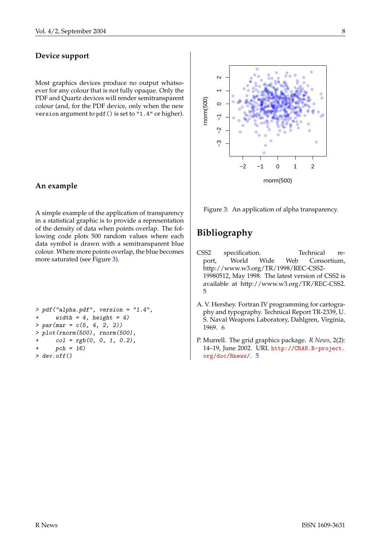### **Device support**

Most graphics devices produce no output whatsoever for any colour that is not fully opaque. Only the PDF and Quartz devices will render semitransparent colour (and, for the PDF device, only when the new version argument to pdf() is set to "1.4" or higher).

### **An example**

A simple example of the application of transparency in a statistical graphic is to provide a representation of the density of data when points overlap. The following code plots 500 random values where each data symbol is drawn with a semitransparent blue colour. Where more points overlap, the blue becomes more saturated (see Figure [3\)](#page-7-3).

```
> pdf("alpha.pdf", version = "1.4",
     width = 4, height = 4)> par(max = c(5, 4, 2, 2))> plot(rnorm(500), rnorm(500),
     col = rgb(0, 0, 1, 0.2),pch = 16> dev.off()
```


<span id="page-7-3"></span>Figure 3: An application of alpha transparency.

## **Bibliography**

- <span id="page-7-1"></span>CSS2 specification. Technical report, World Wide Web Consortium, http://www.w3.org/TR/1998/REC-CSS2- 19980512, May 1998. The latest version of CSS2 is available at http://www.w3.org/TR/REC-CSS2. [5](#page-4-1)
- <span id="page-7-2"></span>A. V. Hershey. Fortran IV programming for cartography and typography. Technical Report TR-2339, U. S. Naval Weapons Laboratory, Dahlgren, Virginia, 1969. [6](#page-5-3)
- <span id="page-7-0"></span>P. Murrell. The grid graphics package. *R News*, 2(2): 14–19, June 2002. URL [http://CRAN.R-project.](http://CRAN.R-project.org/doc/Rnews/) [org/doc/Rnews/](http://CRAN.R-project.org/doc/Rnews/). [5](#page-4-1)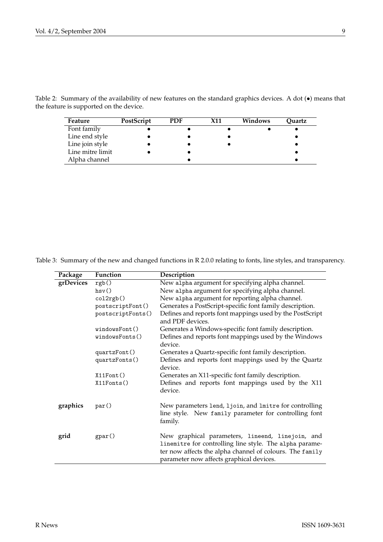<span id="page-8-0"></span>Table 2: Summary of the availability of new features on the standard graphics devices. A dot (•) means that the feature is supported on the device.

| Feature          | PostScript | PDF | <b>X11</b> | Windows | Quartz |
|------------------|------------|-----|------------|---------|--------|
| Font family      |            |     |            |         |        |
| Line end style   |            |     |            |         |        |
| Line join style  |            |     |            |         |        |
| Line mitre limit |            |     |            |         |        |
| Alpha channel    |            |     |            |         |        |

<span id="page-8-1"></span>Table 3: Summary of the new and changed functions in R 2.0.0 relating to fonts, line styles, and transparency.

| Package   | Function          | Description                                                                                                                                                                                                         |
|-----------|-------------------|---------------------------------------------------------------------------------------------------------------------------------------------------------------------------------------------------------------------|
| grDevices | rgb()             | New alpha argument for specifying alpha channel.                                                                                                                                                                    |
|           | hsv()             | New a1pha argument for specifying alpha channel.                                                                                                                                                                    |
|           | col2rgb()         | New a1pha argument for reporting alpha channel.                                                                                                                                                                     |
|           | postscriptFont()  | Generates a PostScript-specific font family description.                                                                                                                                                            |
|           | postscriptFonts() | Defines and reports font mappings used by the PostScript<br>and PDF devices.                                                                                                                                        |
|           | windowsfont()     | Generates a Windows-specific font family description.                                                                                                                                                               |
|           | windowsFonts()    | Defines and reports font mappings used by the Windows<br>device.                                                                                                                                                    |
|           | quartzFont()      | Generates a Quartz-specific font family description.                                                                                                                                                                |
|           | quartzFonts()     | Defines and reports font mappings used by the Quartz<br>device.                                                                                                                                                     |
|           | X11Font()         | Generates an X11-specific font family description.                                                                                                                                                                  |
|           | X11Fonts()        | Defines and reports font mappings used by the X11<br>device.                                                                                                                                                        |
| graphics  | par()             | New parameters lend, ljoin, and lmitre for controlling<br>line style. New family parameter for controlling font<br>family.                                                                                          |
| grid      | gpar()            | New graphical parameters, lineend, linejoin, and<br>linemitre for controlling line style. The alpha parame-<br>ter now affects the alpha channel of colours. The family<br>parameter now affects graphical devices. |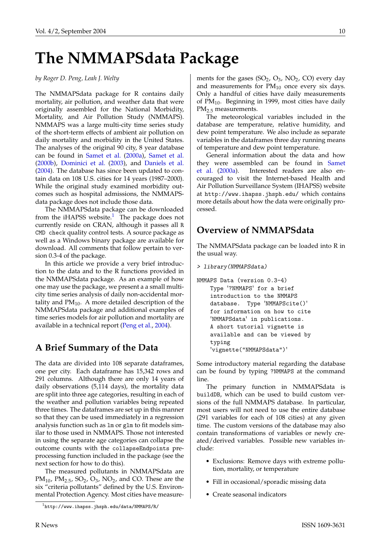# <span id="page-9-2"></span>**The NMMAPSdata Package**

#### <span id="page-9-0"></span>*by Roger D. Peng, Leah J. Welty*

The NMMAPSdata package for R contains daily mortality, air pollution, and weather data that were originally assembled for the National Morbidity, Mortality, and Air Pollution Study (NMMAPS). NMMAPS was a large multi-city time series study of the short-term effects of ambient air pollution on daily mortality and morbidity in the United States. The analyses of the original 90 city, 8 year database can be found in [Samet et al.](#page-13-1) [\(2000a\)](#page-13-1), [Samet et al.](#page-13-2) [\(2000b\)](#page-13-2), [Dominici et al.](#page-13-3) [\(2003\)](#page-13-3), and [Daniels et al.](#page-13-4) [\(2004\)](#page-13-4). The database has since been updated to contain data on 108 U.S. cities for 14 years (1987–2000). While the original study examined morbidity outcomes such as hospital admissions, the NMMAPSdata package does not include those data.

The NMMAPSdata package can be downloaded from the iHAPSS website. $1$  The package does not currently reside on CRAN, although it passes all R CMD check quality control tests. A source package as well as a Windows binary package are available for download. All comments that follow pertain to version 0.3-4 of the package.

In this article we provide a very brief introduction to the data and to the R functions provided in the NMMAPSdata package. As an example of how one may use the package, we present a a small multicity time series analysis of daily non-accidental mortality and  $PM_{10}$ . A more detailed description of the NMMAPSdata package and additional examples of time series models for air pollution and mortality are available in a technical report [\(Peng et al.,](#page-13-5) [2004\)](#page-13-5).

### **A Brief Summary of the Data**

The data are divided into 108 separate dataframes, one per city. Each dataframe has 15,342 rows and 291 columns. Although there are only 14 years of daily observations (5,114 days), the mortality data are split into three age categories, resulting in each of the weather and pollution variables being repeated three times. The dataframes are set up in this manner so that they can be used immediately in a regression analysis function such as lm or glm to fit models similar to those used in NMMAPS. Those not interested in using the separate age categories can collapse the outcome counts with the collapseEndpoints preprocessing function included in the package (see the next section for how to do this).

The measured pollutants in NMMAPSdata are  $PM_{10}$ ,  $PM_{2.5}$ ,  $SO_2$ ,  $O_3$ ,  $NO_2$ , and CO. These are the six "criteria pollutants" defined by the U.S. Environmental Protection Agency. Most cities have measurements for the gases  $(SO_2, O_3, NO_2, CO)$  every day and measurements for  $PM_{10}$  once every six days. Only a handful of cities have daily measurements of  $PM_{10}$ . Beginning in 1999, most cities have daily PM<sub>2.5</sub> measurements.

The meteorological variables included in the database are temperature, relative humidity, and dew point temperature. We also include as separate variables in the dataframes three day running means of temperature and dew point temperature.

General information about the data and how they were assembled can be found in [Samet](#page-13-1) [et al.](#page-13-1) [\(2000a\)](#page-13-1). Interested readers are also encouraged to visit the Internet-based Health and Air Pollution Surveillance System (IHAPSS) website at http://www.ihapss.jhsph.edu/ which contains more details about how the data were originally processed.

### **Overview of NMMAPSdata**

The NMMAPSdata package can be loaded into R in the usual way.

```
> library(NMMAPSdata)
```

```
NMMAPS Data (version 0.3-4)
    Type '?NMMAPS' for a brief
    introduction to the NMMAPS
    database. Type 'NMMAPScite()'
    for information on how to cite
    'NMMAPSdata' in publications.
    A short tutorial vignette is
    available and can be viewed by
    typing
    'vignette("NMMAPSdata")'
```
Some introductory material regarding the database can be found by typing ?NMMAPS at the command line.

The primary function in NMMAPSdata is buildDB, which can be used to build custom versions of the full NMMAPS database. In particular, most users will not need to use the entire database (291 variables for each of 108 cities) at any given time. The custom versions of the database may also contain transformations of variables or newly created/derived variables. Possible new variables include:

- Exclusions: Remove days with extreme pollution, mortality, or temperature
- Fill in occasional/sporadic missing data
- Create seasonal indicators

<span id="page-9-1"></span><sup>1</sup>http://www.ihapss.jhsph.edu/data/NMMAPS/R/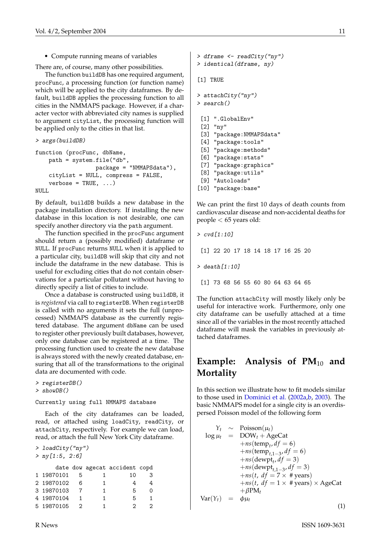<span id="page-10-1"></span>• Compute running means of variables

There are, of course, many other possibilities.

The function buildDB has one required argument, procFunc, a processing function (or function name) which will be applied to the city dataframes. By default, buildDB applies the processing function to all cities in the NMMAPS package. However, if a character vector with abbreviated city names is supplied to argument cityList, the processing function will be applied only to the cities in that list.

```
> args(buildDB)
```

```
function (procFunc, dbName,
    path = system.file("db",
                    package = "NMMAPSdata"),
    cityList = NULL, compress = FALSE,
    verbose = TRUE, ...)NULL<sub>1</sub>
```
By default, buildDB builds a new database in the package installation directory. If installing the new database in this location is not desirable, one can specify another directory via the path argument.

The function specified in the procFunc argument should return a (possibly modified) dataframe or NULL. If procFunc returns NULL when it is applied to a particular city, buildDB will skip that city and not include the dataframe in the new database. This is useful for excluding cities that do not contain observations for a particular pollutant without having to directly specify a list of cities to include.

Once a database is constructed using buildDB, it is *registered* via call to registerDB. When registerDB is called with no arguments it sets the full (unprocessed) NMMAPS database as the currently registered database. The argument dbName can be used to register other previously built databases, however, only one database can be registered at a time. The processing function used to create the new database is always stored with the newly created database, ensuring that all of the transformations to the original data are documented with code.

> registerDB() > showDB()

#### Currently using full NMMAPS database

Each of the city dataframes can be loaded, read, or attached using loadCity, readCity, or attachCity, respectively. For example we can load, read, or attach the full New York City dataframe.

> loadCity("ny") > ny[1:5, 2:6]

|            |    |   | date dow agecat accident copd |  |
|------------|----|---|-------------------------------|--|
| 1 19870101 |    |   | 10                            |  |
| 2 19870102 | ิค |   |                               |  |
| 3 19870103 |    | 1 | Б                             |  |
| 4 19870104 |    | 1 | Б                             |  |
| 5 19870105 |    |   |                               |  |

```
> identical(dframe, ny)
[1] TRUE
> attachCity("ny")
> search()
 [1] ".GlobalEnv"
 [2] "ny"
 [3] "package:NMMAPSdata"
 [4] "package:tools"
 [5] "package:methods"
 [6] "package:stats"
 [7] "package:graphics"
 [8] "package:utils"
 [9] "Autoloads"
```
> dframe <- readCity("ny")

[10] "package:base"

We can print the first 10 days of death counts from cardiovascular disease and non-accidental deaths for people < 65 years old:

```
> cvd[1:10]
 [1] 22 20 17 18 14 18 17 16 25 20
> death[1:10]
 [1] 73 68 56 55 60 80 64 63 64 65
```
The function attachCity will mostly likely only be useful for interactive work. Furthermore, only one city dataframe can be usefully attached at a time since all of the variables in the most recently attached dataframe will mask the variables in previously attached dataframes.

## **Example:** Analysis of PM<sub>10</sub> and **Mortality**

In this section we illustrate how to fit models similar to those used in [Dominici et al.](#page-13-6) [\(2002a](#page-13-6)[,b,](#page-13-7) [2003\)](#page-13-3). The basic NMMAPS model for a single city is an overdispersed Poisson model of the following form

<span id="page-10-0"></span>
$$
Y_t \sim \text{Poisson}(\mu_t)
$$
  
\n
$$
\log \mu_t = \text{DOW}_t + \text{AgeCat}
$$
  
\n
$$
+ ns(\text{temp}_t, df = 6)
$$
  
\n
$$
+ ns(\text{temp}_{t,1-3}, df = 6)
$$
  
\n
$$
+ ns(\text{dewpt}_{t,1-3}, df = 3)
$$
  
\n
$$
+ ns(t, df = 7 \times # \text{years})
$$
  
\n
$$
+ ns(t, df = 1 \times # \text{years}) \times \text{AgeCat}
$$
  
\n
$$
\text{Var}(Y_t) = \phi \mu_t
$$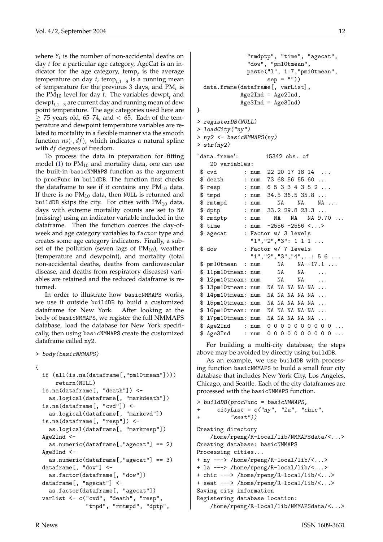where  $Y_t$  is the number of non-accidental deaths on day *t* for a particular age category, AgeCat is an indicator for the age category, temp<sub>t</sub> is the average temperature on day *t*, temp<sub>*t*,1−3</sub> is a running mean of temperature for the previous 3 days, and PM*t* is the  $PM_{10}$  level for day *t*. The variables dewpt<sub>*t*</sub> and dewpt*t*,1−<sup>3</sup> are current day and running mean of dew point temperature. The age categories used here are  $>$  75 years old, 65–74, and  $<$  65. Each of the temperature and dewpoint temperature variables are related to mortality in a flexible manner via the smooth function  $ns(\cdot, df)$ , which indicates a natural spline with *df* degrees of freedom.

To process the data in preparation for fitting model [\(1\)](#page-10-0) to  $PM_{10}$  and mortality data, one can use the built-in basicNMMAPS function as the argument to procFunc in buildDB. The function first checks the dataframe to see if it contains any  $PM_{10}$  data. If there is no  $PM_{10}$  data, then NULL is returned and buildDB skips the city. For cities with  $PM_{10}$  data, days with extreme mortality counts are set to NA (missing) using an indicator variable included in the dataframe. Then the function coerces the day-ofweek and age category variables to factor type and creates some age category indicators. Finally, a subset of the pollution (seven lags of  $PM_{10}$ ), weather (temperature and dewpoint), and mortality (total non-accidental deaths, deaths from cardiovascular disease, and deaths from respiratory diseases) variables are retained and the reduced dataframe is returned.

In order to illustrate how basicNMMAPS works. we use it outside buildDB to build a customized dataframe for New York. After looking at the body of basicNMMAPS, we register the full NMMAPS database, load the database for New York specifically, then using basicNMMAPS create the customized dataframe called ny2.

```
> body(basicNMMAPS)
```

```
{
```

```
if (all(is.na(dataframe[,"pm10tmean"])))
   return(NULL)
is.na(dataframe[, "death"]) <-
 as.logical(dataframe[, "markdeath"])
is.na(dataframe[, "cvd"]) <-
 as.logical(dataframe[, "markcvd"])
is.na(dataframe[, "resp"]) <-
 as.logical(dataframe[, "markresp"])
Age2Ind <-
 as.numeric(dataframe[,"agecat"] == 2)
Age3Ind <-
 as.numeric(dataframe[,"agecat"] == 3)
dataframe[, "dow"] <-
 as.factor(dataframe[, "dow"])
dataframe[, "agecat"] <-
 as.factor(dataframe[, "agecat"])
varList <- c("cvd", "death", "resp",
             "tmpd", "rmtmpd", "dptp",
```

```
"rmdptp", "time", "agecat",
             "dow", "pm10tmean"
             paste("l", 1:7,"pm10tmean",
                   sep = "")data.frame(dataframe[, varList],
           Age2Ind = Age2Ind,Age3Ind = Age3Ind)}
> registerDB(NULL)
> loadCity("ny")
> ny2 < - basicNMMAPS(ny)
> str(ny2)
`data.frame': 15342 obs. of
   20 variables:
 $ cvd : num 22 20 17 18 14 ...
 $ death : num 73 68 56 55 60 ...
 $ resp : num 6 5 3 3 4 3 5 2 ...
 $ tmpd : num 34.5 36.5 35.8 ...
 $ rmtmpd : num NA NA NA ...
 $ dptp : num 33.2 29.8 23.3 ...
 $ rmdptp : num NA NA NA 9.70 ...
 $ time : num -2556 -2556 <...>
 $ agecat : Factor w/ 3 levels
              "1", "2", "3": 1 1 1 ...$ dow : Factor w/ 7 levels
              "1","2","3","4",..: 5 6 ...
 $ pm10tmean : num NA NA -17.1 ...
 $ l1pm10tmean: num  NA NA ...
 $ 12pm10tmean: num  NA NA ...
 $ 13pm10tmean: num NA NA NA NA NA ...
 $ 14pm10tmean: num NA NA NA NA NA ...
 $ 15pm10tmean: num NA NA NA NA NA ...
 $ 16pm10tmean: num NA NA NA NA NA ...
 $ l7pm10tmean: num NA NA NA NA NA ...
 $ Age2Ind : num 0 0 0 0 0 0 0 0 0 0 ...
 $ Age3Ind : num  0 0 0 0 0 0 0 0 0 0 ...
```
For building a multi-city database, the steps above may be avoided by directly using buildDB.

As an example, we use buildDB with processing function basicNMMAPS to build a small four city database that includes New York City, Los Angeles, Chicago, and Seattle. Each of the city dataframes are processed with the basicNMMAPS function.

```
> buildDB(procFunc = basicNMMAPS,
      cityList = c("ny", "la", "chic","seat"))
Creating directory
    /home/rpeng/R-local/lib/NMMAPSdata/<...>
Creating database: basicNMMAPS
Processing cities...
+ ny ---> /home/rpeng/R-local/lib/<...>
+ la ---> /home/rpeng/R-local/lib/<...>
+ chic ---> /home/rpeng/R-local/lib/<...>
+ seat ---> /home/rpeng/R-local/lib/<...>
Saving city information
Registering database location:
```

```
/home/rpeng/R-local/lib/NMMAPSdata/<...>
```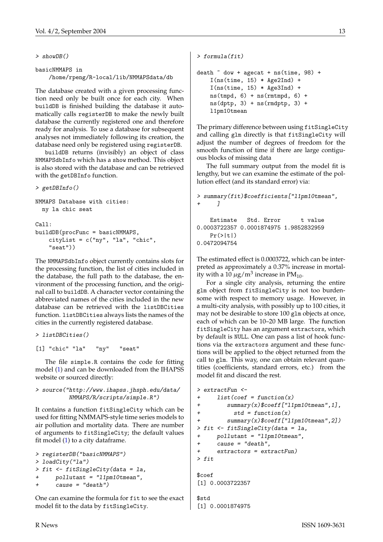```
> showDB()
```

```
basicNMMAPS in
    /home/rpeng/R-local/lib/NMMAPSdata/db
```
The database created with a given processing function need only be built once for each city. When buildDB is finished building the database it automatically calls registerDB to make the newly built database the currently registered one and therefore ready for analysis. To use a database for subsequent analyses not immediately following its creation, the database need only be registered using registerDB.

buildDB returns (invisibly) an object of class NMMAPSdbInfo which has a show method. This object is also stored with the database and can be retrieved with the getDBInfo function.

> getDBInfo()

```
NMMAPS Database with cities:
 ny la chic seat
Ca11:buildDB(procFunc = basicNMMAPS,
    cityList = c("ny", "la", "chic","seat"))
```
The NMMAPSdbInfo object currently contains slots for the processing function, the list of cities included in the database, the full path to the database, the environment of the processing function, and the original call to buildDB. A character vector containing the abbreviated names of the cities included in the new database can be retrieved with the listDBCities function. listDBCities always lists the names of the cities in the currently registered database.

```
> listDBCities()
```
[1] "chic" "la" "ny" "seat"

The file simple.R contains the code for fitting model [\(1\)](#page-10-0) and can be downloaded from the IHAPSS website or sourced directly:

#### > source("http://www.ihapss.jhsph.edu/data/ NMMAPS/R/scripts/simple.R")

It contains a function fitSingleCity which can be used for fitting NMMAPS-style time series models to air pollution and mortality data. There are number of arguments to fitSingleCity; the default values fit model [\(1\)](#page-10-0) to a city dataframe.

```
> registerDB("basicNMMAPS")
> loadCity("la")
> fit <- fitSingleCity(data = la,
+ pollutant = "l1pm10tmean",
      cause = "death")
```
One can examine the formula for fit to see the exact model fit to the data by fitSingleCity.

```
> formula(fit)
death \tilde{ } dow + agecat + ns(time, 98) +
    I(ns(time, 15) * Age2Ind) +I(ns(time, 15) * Age3Ind) +ns(tmpd, 6) + ns(rmtmpd, 6) +ns(dptp, 3) + ns(rmdptp, 3) +l1pm10tmean
```
The primary difference between using fitSingleCity and calling glm directly is that fitSingleCity will adjust the number of degrees of freedom for the smooth function of time if there are large contiguous blocks of missing data

The full summary output from the model fit is lengthy, but we can examine the estimate of the pollution effect (and its standard error) via:

```
> summary(fit)$coefficients["l1pm10tmean",
+ ]
   Estimate Std. Error t value
0.0003722357 0.0001874975 1.9852832959
```

```
Pr(>\vert t \vert)0.0472094754
```
The estimated effect is 0.0003722, which can be interpreted as approximately a 0.37% increase in mortality with a  $10 \ \mu\text{g/m}^3$  increase in PM<sub>10</sub>.

For a single city analysis, returning the entire glm object from fitSingleCity is not too burdensome with respect to memory usage. However, in a multi-city analysis, with possibly up to 100 cities, it may not be desirable to store 100 glm objects at once, each of which can be 10–20 MB large. The function fitSingleCity has an argument extractors, which by default is NULL. One can pass a list of hook functions via the extractors argument and these functions will be applied to the object returned from the call to glm. This way, one can obtain relevant quantities (coefficients, standard errors, etc.) from the model fit and discard the rest.

```
> extractFun <-
+ list(coef = function(x)
+ summary(x)$coeff["l1pm10tmean",1],
+ std = function(x)+ summary(x)$coeff["l1pm10tmean",2])
> fit <- fitSingleCity(data = la,
     pollutant = "l1pm10tmean",
+ cause = "death",
+ extractors = extractFun)
> fit
$coef
[1] 0.0003722357
$std
[1] 0.0001874975
```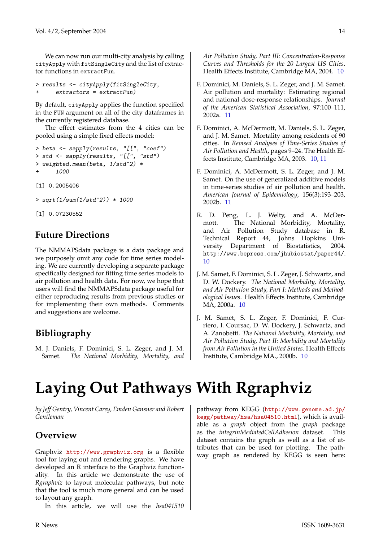We can now run our multi-city analysis by calling cityApply with fitSingleCity and the list of extractor functions in extractFun.

```
> results <- cityApply(fitSingleCity,
+ extractors = extractFun)
```
By default, cityApply applies the function specified in the FUN argument on all of the city dataframes in the currently registered database.

The effect estimates from the 4 cities can be pooled using a simple fixed effects model:

```
> beta <- sapply(results, "[[", "coef")
> std <- sapply(results, "[[", "std")
> weighted.mean(beta, 1/std^2) *
      1000
```
[1] 0.2005406

> sqrt(1/sum(1/std^2)) \* 1000

[1] 0.07230552

### **Future Directions**

The NMMAPSdata package is a data package and we purposely omit any code for time series modeling. We are currently developing a separate package specifically designed for fitting time series models to air pollution and health data. For now, we hope that users will find the NMMAPSdata package useful for either reproducing results from previous studies or for implementing their own methods. Comments and suggestions are welcome.

## **Bibliography**

<span id="page-13-4"></span>M. J. Daniels, F. Dominici, S. L. Zeger, and J. M. Samet. *The National Morbidity, Mortality, and* *Air Pollution Study, Part III: Concentration-Response Curves and Thresholds for the 20 Largest US Cities*. Health Effects Institute, Cambridge MA, 2004. [10](#page-9-2)

- <span id="page-13-6"></span>F. Dominici, M. Daniels, S. L. Zeger, and J. M. Samet. Air pollution and mortality: Estimating regional and national dose-response relationships. *Journal of the American Statistical Association*, 97:100–111, 2002a. [11](#page-10-1)
- <span id="page-13-3"></span>F. Dominici, A. McDermott, M. Daniels, S. L. Zeger, and J. M. Samet. Mortality among residents of 90 cities. In *Revised Analyses of Time-Series Studies of Air Pollution and Health*, pages 9–24. The Health Effects Institute, Cambridge MA, 2003. [10,](#page-9-2) [11](#page-10-1)
- <span id="page-13-7"></span>F. Dominici, A. McDermott, S. L. Zeger, and J. M. Samet. On the use of generalized additive models in time-series studies of air pollution and health. *American Journal of Epidemiology*, 156(3):193–203, 2002b. [11](#page-10-1)
- <span id="page-13-5"></span>R. D. Peng, L. J. Welty, and A. McDermott. The National Morbidity, Mortality, and Air Pollution Study database in R. Technical Report 44, Johns Hopkins University Department of Biostatistics, 2004. http://www.bepress.com/jhubiostat/paper44/. [10](#page-9-2)
- <span id="page-13-1"></span>J. M. Samet, F. Dominici, S. L. Zeger, J. Schwartz, and D. W. Dockery. *The National Morbidity, Mortality, and Air Pollution Study, Part I: Methods and Methodological Issues*. Health Effects Institute, Cambridge MA, 2000a. [10](#page-9-2)
- <span id="page-13-2"></span>J. M. Samet, S. L. Zeger, F. Dominici, F. Curriero, I. Coursac, D. W. Dockery, J. Schwartz, and A. Zanobetti. *The National Morbidity, Mortality, and Air Pollution Study, Part II: Morbidity and Mortality from Air Pollution in the United States*. Health Effects Institute, Cambridge MA., 2000b. [10](#page-9-2)

# **Laying Out Pathways With Rgraphviz**

<span id="page-13-0"></span>*by Jeff Gentry, Vincent Carey, Emden Gansner and Robert Gentleman*

## **Overview**

Graphviz <http://www.graphviz.org> is a flexible tool for laying out and rendering graphs. We have developed an R interface to the Graphviz functionality. In this article we demonstrate the use of *Rgraphviz* to layout molecular pathways, but note that the tool is much more general and can be used to layout any graph.

In this article, we will use the *hsa041510*

pathway from KEGG ([http://www.genome.ad.jp/](http://www.genome.ad.jp/kegg/pathway/hsa/hsa04510.html) [kegg/pathway/hsa/hsa04510.html](http://www.genome.ad.jp/kegg/pathway/hsa/hsa04510.html)), which is available as a *graph* object from the *graph* package as the *integrinMediatedCellAdhesion* dataset. This dataset contains the graph as well as a list of attributes that can be used for plotting. The pathway graph as rendered by KEGG is seen here: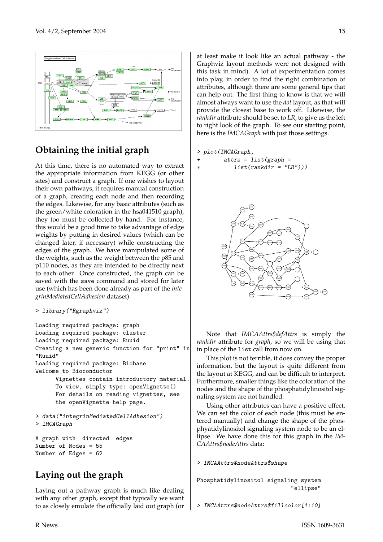

# **Obtaining the initial graph**

At this time, there is no automated way to extract the appropriate information from KEGG (or other sites) and construct a graph. If one wishes to layout their own pathways, it requires manual construction of a graph, creating each node and then recording the edges. Likewise, for any basic attributes (such as the green/white coloration in the hsa041510 graph), they too must be collected by hand. For instance, this would be a good time to take advantage of edge weights by putting in desired values (which can be changed later, if necessary) while constructing the edges of the graph. We have manipulated some of the weights, such as the weight between the p85 and p110 nodes, as they are intended to be directly next to each other. Once constructed, the graph can be saved with the save command and stored for later use (which has been done already as part of the *integrinMediatedCellAdhesion* dataset).

```
> library("Rgraphviz")
```

```
Loading required package: graph
Loading required package: cluster
Loading required package: Ruuid
Creating a new generic function for "print" in
"Ruuid"
Loading required package: Biobase
Welcome to Bioconductor
      Vignettes contain introductory material.
      To view, simply type: openVignette()
      For details on reading vignettes, see
      the openVignette help page.
> data("integrinMediatedCellAdhesion")
> IMCAGraph
A graph with directed edges
```

```
Number of Nodes = 55
Number of Edges = 62
```
# **Laying out the graph**

Laying out a pathway graph is much like dealing with any other graph, except that typically we want to as closely emulate the officially laid out graph (or at least make it look like an actual pathway - the Graphviz layout methods were not designed with this task in mind). A lot of experimentation comes into play, in order to find the right combination of attributes, although there are some general tips that can help out. The first thing to know is that we will almost always want to use the *dot* layout, as that will provide the closest base to work off. Likewise, the *rankdir* attribute should be set to *LR*, to give us the left to right look of the graph. To see our starting point, here is the *IMCAGraph* with just those settings.

### > plot(IMCAGraph,

```
+ attrs = list(graph =
```

```
list(rankdir = "LR")))
```


Note that *IMCAAttrs\$defAttrs* is simply the *rankdir* attribute for *graph*, so we will be using that in place of the list call from now on.

This plot is not terrible, it does convey the proper information, but the layout is quite different from the layout at KEGG, and can be difficult to interpret. Furthermore, smaller things like the coloration of the nodes and the shape of the phosphatidylinositol signaling system are not handled.

Using other attributes can have a positive effect. We can set the color of each node (this must be entered manually) and change the shape of the phosphyatidylinositol signaling system node to be an ellipse. We have done this for this graph in the *IM-CAAttrs\$nodeAttrs* data:

> IMCAAttrs\$nodeAttrs\$shape

Phosphatidylinositol signaling system "ellipse"

```
> IMCAAttrs$nodeAttrs$fillcolor[1:10]
```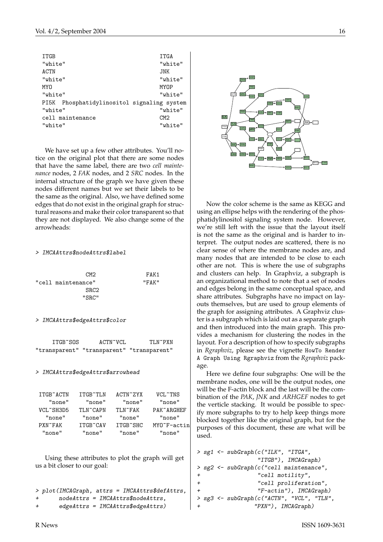| <b>ITGB</b>                                   | ITGA        |
|-----------------------------------------------|-------------|
| "white"                                       | "white"     |
| ACTN                                          | JNK         |
| "white"                                       | "white"     |
| MYN                                           | <b>MYOP</b> |
| "white"                                       | "white"     |
| Phosphatidylinositol signaling system<br>PI5K |             |
| "white"                                       | "white"     |
| cell maintenance                              | CM2         |
| "white"                                       | "white"     |

We have set up a few other attributes. You'll notice on the original plot that there are some nodes that have the same label, there are two *cell maintenance* nodes, 2 *FAK* nodes, and 2 *SRC* nodes. In the internal structure of the graph we have given these nodes different names but we set their labels to be the same as the original. Also, we have defined some edges that do not exist in the original graph for structural reasons and make their color transparent so that they are not displayed. We also change some of the arrowheads:

#### > IMCAAttrs\$nodeAttrs\$label

| CM <sub>2</sub>    | FAK1  |
|--------------------|-------|
| "cell maintenance" | "FAK" |
| SRC <sub>2</sub>   |       |
| "SRC"              |       |

#### > IMCAAttrs\$edgeAttrs\$color

| ITGB~SOS | ACTN~VCL                                  | TLN~PXN |
|----------|-------------------------------------------|---------|
|          | "transparent" "transparent" "transparent" |         |

#### > IMCAAttrs\$edgeAttrs\$arrowhead

| ITGB~ACTN | TTGB~TLN  | $ACTN^2ZYY$ | VCL~TNS              |
|-----------|-----------|-------------|----------------------|
| "none"    | "none"    | "none"      | "none"               |
| VCL~SH3D5 | TI.N~CAPN | TI.N~FAK    | PAK~ARGHEF           |
| "none"    | "none"    | "none"      | "none"               |
| PXN~FAK   | ITGB~CAV  | ITGB~SHC    | $MYO^{\sim}F$ -actin |
| "none"    | "none"    | "none"      | "none"               |

Using these attributes to plot the graph will get us a bit closer to our goal:

```
> plot(IMCAGraph, attrs = IMCAAttrs$defAttrs,
       nodeAttrs = IMCAAttrs$nodeAttrs,+ edgeAttrs = IMCAAttrs$edgeAttrs)
```


Now the color scheme is the same as KEGG and using an ellipse helps with the rendering of the phosphatidylinositol signaling system node. However, we're still left with the issue that the layout itself is not the same as the original and is harder to interpret. The output nodes are scattered, there is no clear sense of where the membrane nodes are, and many nodes that are intended to be close to each other are not. This is where the use of subgraphs and clusters can help. In Graphviz, a subgraph is an organizational method to note that a set of nodes and edges belong in the same conceptual space, and share attributes. Subgraphs have no impact on layouts themselves, but are used to group elements of the graph for assigning attributes. A Graphviz cluster is a subgraph which is laid out as a separate graph and then introduced into the main graph. This provides a mechanism for clustering the nodes in the layout. For a description of how to specify subgraphs in *Rgraphviz*, please see the vignette HowTo Render A Graph Using Rgraphviz from the *Rgraphviz* package.

Here we define four subgraphs: One will be the membrane nodes, one will be the output nodes, one will be the F-actin block and the last will be the combination of the *PAK*, *JNK* and *ARHGEF* nodes to get the verticle stacking. It would be possible to specify more subgraphs to try to help keep things more blocked together like the original graph, but for the purposes of this document, these are what will be used.

```
> sg1 <- subGraph(c("ILK", "ITGA",
                 "ITGB"), IMCAGraph)
> sg2 <- subGraph(c("cell maintenance",
                 "cell motility",
+ "cell proliferation",
                 "F-actin"), IMCAGraph)
 > sg3 <- subGraph(c("ACTN", "VCL", "TLN",
                "PXN"), IMCAGraph)
```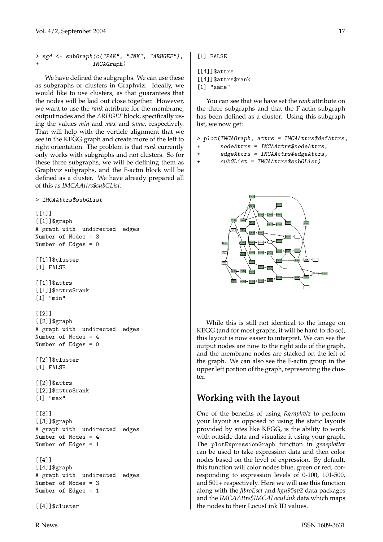> sg4 <- subGraph(c("PAK", "JNK", "ARHGEF"), + IMCAGraph)

We have defined the subgraphs. We can use these as subgraphs or clusters in Graphviz. Ideally, we would like to use clusters, as that guarantees that the nodes will be laid out close together. However, we want to use the *rank* attribute for the membrane, output nodes and the *ARHGEF* block, specifically using the values *min* and *max* and *same*, respectively. That will help with the verticle alignment that we see in the KEGG graph and create more of the left to right orientation. The problem is that *rank* currently only works with subgraphs and not clusters. So for these three subgraphs, we will be defining them as Graphviz subgraphs, and the F-actin block will be defined as a cluster. We have already prepared all of this as *IMCAAttrs\$subGList*:

> IMCAAttrs\$subGList

 $[[1]$ [[1]]\$graph A graph with undirected edges Number of Nodes = 3 Number of Edges = 0 [[1]]\$cluster [1] FALSE [[1]]\$attrs [[1]]\$attrs\$rank [1] "min" [[2]]  $[2]$ ]\$graph A graph with undirected edges Number of Nodes = 4 Number of Edges = 0 [[2]]\$cluster [1] FALSE [[2]]\$attrs [[2]]\$attrs\$rank [1] "max"  $[$ [3]] [[3]]\$graph A graph with undirected edges Number of Nodes = 4 Number of Edges = 1  $\lceil$ [4]] [[4]]\$graph A graph with undirected edges Number of Nodes = 3

[1] FALSE

```
[4]]$attrs[[4]]$attrs$rank
[1] "same"
```
You can see that we have set the *rank* attribute on the three subgraphs and that the F-actin subgraph has been defined as a cluster. Using this subgraph list, we now get:

```
> plot(IMCAGraph, attrs = IMCAAttrs$defAttrs,
```
- $nodeAttrs = IMCAAttrs$nodeAttrs,$
- + edgeAttrs = IMCAAttrs\$edgeAttrs,

+ subGList = IMCAAttrs\$subGList)



While this is still not identical to the image on KEGG (and for most graphs, it will be hard to do so), this layout is now easier to interpret. We can see the output nodes are now to the right side of the graph, and the membrane nodes are stacked on the left of the graph. We can also see the F-actin group in the upper left portion of the graph, representing the cluster.

### **Working with the layout**

One of the benefits of using *Rgraphviz* to perform your layout as opposed to using the static layouts provided by sites like KEGG, is the ability to work with outside data and visualize it using your graph. The plotExpressionGraph function in *geneplotter* can be used to take expression data and then color nodes based on the level of expression. By default, this function will color nodes blue, green or red, corresponding to expression levels of 0-100, 101-500, and 501+ respectively. Here we will use this function along with the *fibroEset* and *hgu95av2* data packages and the *IMCAAttrs\$IMCALocuLink* data which maps the nodes to their LocusLink ID values.

[[4]]\$cluster

Number of Edges = 1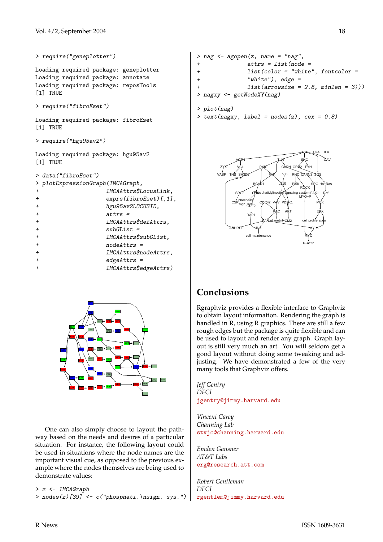```
> require("geneplotter")
Loading required package: geneplotter
Loading required package: annotate
Loading required package: reposTools
[1] TRUE
> require("fibroEset")
Loading required package: fibroEset
[1] TRUE
> require("hgu95av2")
Loading required package: hgu95av2
[1] TRUE
> data("fibroEset")
> plotExpressionGraph(IMCAGraph,
+ IMCAAttrs$LocusLink,
+ hgu95av2LOCUSID,
+ attrs =
```

|                | > plotExpressionGraph(IMCAGraph,  |
|----------------|-----------------------------------|
| $\ddot{}$      | IMCAAttrs\$LocusLink,             |
| $\overline{+}$ | $\exp\left(fibroEset\right)[,1],$ |
| $\ddot{}$      | hgu95av2L0CUSID,                  |
| $\overline{+}$ | $attrs =$                         |
| $\overline{+}$ | IMCAAttrs\$defAttrs,              |
| $\overline{+}$ | $subGList =$                      |
| $\overline{+}$ | IMCAAttrs\$subGList,              |
| $\ddot{}$      | $nodeAttrs =$                     |
| $\overline{+}$ | IMCAAttrs\$nodeAttrs,             |
| $\overline{+}$ | $edgeAttrs =$                     |
| $\overline{+}$ | IMCAAttrs\$edgeAttrs)             |
|                |                                   |



One can also simply choose to layout the pathway based on the needs and desires of a particular situation. For instance, the following layout could be used in situations where the node names are the important visual cue, as opposed to the previous example where the nodes themselves are being used to demonstrate values:

```
> z <- IMCAGraph
```

```
> nodes(z)[39] <- c("phosphati.\nsign. sys.")
```

```
> nag <- agopen(z, name = "nag",
+ attrs = list(node =
+ list(color = "white", fontcolor =
+ "white"), edge =
+ list(arrowsize = 2.8, minlen = 3)))
> nagxy <- getNodeXY(nag)
```

```
> plot(nag)
> text(nagxy, label = nodes(z), cex = 0.8)
```


# **Conclusions**

Rgraphviz provides a flexible interface to Graphviz to obtain layout information. Rendering the graph is handled in R, using R graphics. There are still a few rough edges but the package is quite flexible and can be used to layout and render any graph. Graph layout is still very much an art. You will seldom get a good layout without doing some tweaking and adjusting. We have demonstrated a few of the very many tools that Graphviz offers.

*Jeff Gentry DFCI* [jgentry@jimmy.harvard.edu](mailto:jgentry@jimmy.harvard.edu)

*Vincent Carey Channing Lab* [stvjc@channing.harvard.edu](mailto:stvjc@channing.harvard.edu)

*Emden Gansner AT&T Labs* [erg@research.att.com](mailto:erg@research.att.com)

*Robert Gentleman DFCI* [rgentlem@jimmy.harvard.edu](mailto:rgentlem@jimmy.harvard.edu)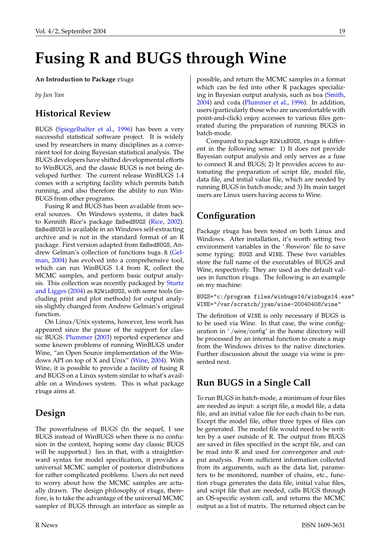# <span id="page-18-1"></span>**Fusing R and BUGS through Wine**

<span id="page-18-0"></span>**An Introduction to Package** rbugs

*by Jun Yan*

## **Historical Review**

BUGS [\(Spiegelhalter et al.,](#page-20-1) [1996\)](#page-20-1) has been a very successful statistical software project. It is widely used by researchers in many disciplines as a convenient tool for doing Bayesian statistical analysis. The BUGS developers have shifted developmental efforts to WinBUGS, and the classic BUGS is not being developed further. The current release WinBUGS 1.4 comes with a scripting facility which permits batch running, and also therefore the ability to run Win-BUGS from other programs.

Fusing R and BUGS has been available from several sources. On Windows systems, it dates back to Kennith Rice's package EmBedBUGS [\(Rice,](#page-20-2) [2002\)](#page-20-2). EmBedBUGS is available in an Windows self-extracting archive and is not in the standard format of an R package. First version adapted from EmBedBUGS, Andrew Gelman's collection of functions bugs.R [\(Gel](#page-20-3)[man,](#page-20-3) [2004\)](#page-20-3) has evolved into a comprehensive tool, which can run WinBUGS 1.4 from R, collect the MCMC samples, and perform basic output analysis. This collection was recently packaged by [Sturtz](#page-20-4) [and Ligges](#page-20-4) [\(2004\)](#page-20-4) as R2WinBUGS, with some tools (including print and plot methods) for output analysis slightly changed from Andrew Gelman's original function.

On Linux/Unix systems, however, less work has appeared since the pause of the support for classic BUGS. [Plummer](#page-20-5) [\(2003\)](#page-20-5) reported experience and some known problems of running WinBUGS under Wine, "an Open Source implementation of the Windows API on top of X and Unix" [\(Wine,](#page-20-6) [2004\)](#page-20-6). With Wine, it is possible to provide a facility of fusing R and BUGS on a Linux system similar to what's available on a Windows system. This is what package rbugs aims at.

## **Design**

The powerfulness of BUGS (In the sequel, I use BUGS instead of WinBUGS when there is no confusion in the context, hoping some day classic BUGS will be supported.) lies in that, with a straightforward syntax for model specification, it provides a universal MCMC sampler of posterior distributions for rather complicated problems. Users do not need to worry about how the MCMC samples are actually drawn. The design philosophy of rbugs, therefore, is to take the advantage of the universal MCMC sampler of BUGS through an interface as simple as

possible, and return the MCMC samples in a format which can be fed into other R packages specializing in Bayesian output analysis, such as boa [\(Smith,](#page-20-7) [2004\)](#page-20-7) and coda [\(Plummer et al.,](#page-20-8) [1996\)](#page-20-8). In addition, users (particularly those who are uncomfortable with point-and-click) enjoy accesses to various files generated during the preparation of running BUGS in batch-mode.

Compared to package R2WinBUGS, rbugs is different in the following sense: 1) It does not provide Bayesian output analysis and only serves as a fuse to connect R and BUGS; 2) It provides access to automating the preparation of script file, model file, data file, and initial value file, which are needed by running BUGS in batch-mode; and 3) Its main target users are Linux users having access to Wine.

## **Configuration**

Package rbugs has been tested on both Linux and Windows. After installation, it's worth setting two environment variables in the '.Renviron' file to save some typing: BUGS and WINE. These two variables store the full name of the executables of BUGS and Wine, respectively. They are used as the default values in function rbugs. The following is an example on my machine:

BUGS="c:/program files/winbugs14/winbugs14.exe" WINE="/var/scratch/jyan/wine-20040408/wine"

The definition of WINE is only necessary if BUGS is to be used via Wine. In that case, the wine configuration in './wine/config' in the home directory will be processed by an internal function to create a map from the Windows drives to the native directories. Further discussion about the usage via wine is presented next.

## **Run BUGS in a Single Call**

To run BUGS in batch-mode, a minimum of four files are needed as input: a script file, a model file, a data file, and an initial value file for each chain to be run. Except the model file, other three types of files can be generated. The model file would need to be written by a user outside of R. The output from BUGS are saved in files specified in the script file, and can be read into R and used for convergence and output analysis. From sufficient information collected from its arguments, such as the data list, parameters to be monitored, number of chains, etc., function rbugs generates the data file, initial value files, and script file that are needed, calls BUGS through an OS-specific system call, and returns the MCMC output as a list of matrix. The returned object can be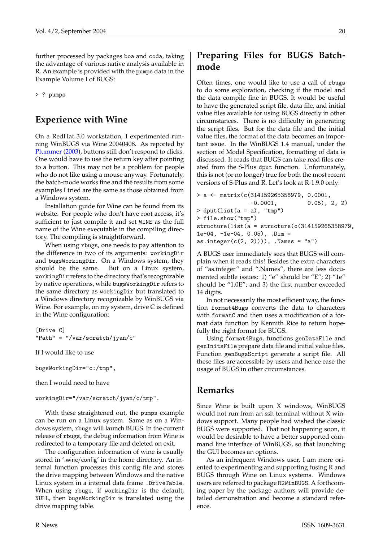<span id="page-19-0"></span>further processed by packages boa and coda, taking the advantage of various native analysis available in R. An example is provided with the pumps data in the Example Volume I of BUGS:

> ? pumps

### **Experience with Wine**

On a RedHat 3.0 workstation, I experimented running WinBUGS via Wine 20040408. As reported by [Plummer](#page-20-5) [\(2003\)](#page-20-5), buttons still don't respond to clicks. One would have to use the return key after pointing to a button. This may not be a problem for people who do not like using a mouse anyway. Fortunately, the batch-mode works fine and the results from some examples I tried are the same as those obtained from a Windows system.

Installation guide for Wine can be found from its website. For people who don't have root access, it's sufficient to just compile it and set WINE as the full name of the Wine executable in the compiling directory. The compiling is straightforward.

When using rbugs, one needs to pay attention to the difference in two of its arguments: workingDir and bugsWorkingDir. On a Windows system, they should be the same. But on a Linux system, workingDir refers to the directory that's recognizable by native operations, while bugsWorkingDir refers to the same directory as workingDir but translated to a Windows directory recognizable by WinBUGS via Wine. For example, on my system, drive C is defined in the Wine configuration:

```
[Drive C]
"Path" = "/var/scratch/jyan/c"
```
If I would like to use

bugsWorkingDir="c:/tmp",

then I would need to have

#### workingDir="/var/scratch/jyan/c/tmp".

With these straightened out, the pumps example can be run on a Linux system. Same as on a Windows system, rbugs will launch BUGS. In the current release of rbugs, the debug information from Wine is redirected to a temporary file and deleted on exit.

The configuration information of wine is usually stored in '.wine/config' in the home directory. An internal function processes this config file and stores the drive mapping between Windows and the native Linux system in a internal data frame .DriveTable. When using rbugs, if workingDir is the default, NULL, then bugsWorkingDir is translated using the drive mapping table.

# **Preparing Files for BUGS Batchmode**

Often times, one would like to use a call of rbugs to do some exploration, checking if the model and the data compile fine in BUGS. It would be useful to have the generated script file, data file, and initial value files available for using BUGS directly in other circumstances. There is no difficulty in generating the script files. But for the data file and the initial value files, the format of the data becomes an important issue. In the WinBUGS 1.4 manual, under the section of Model Specification, formatting of data is discussed. It reads that BUGS can take read files created from the S-Plus dput function. Unfortunately, this is not (or no longer) true for both the most recent versions of S-Plus and R. Let's look at R-1.9.0 only:

```
> a <- matrix(c(314159265358979, 0.0001,
               -0.0001, 0.05), 2, 2)
> dput(list(a = a), "tmp")
> file.show("tmp")
structure(list(a = structure(c(314159265358979,1e-04, -1e-04, 0.05), .Dim =
as.integer(c(2, 2)))), .Names = "a")
```
A BUGS user immediately sees that BUGS will complain when it reads this! Besides the extra characters of "as.integer" and ".Names", there are less documented subtle issues: 1) "e" should be "E"; 2) "1e" should be "1.0E"; and 3) the first number exceeded 14 digits.

In not necessarily the most efficient way, the function format4Bugs converts the data to characters with formatC and then uses a modification of a format data function by Kennith Rice to return hopefully the right format for BUGS.

Using format4Bugs, functions genDataFile and genInitsFile prepare data file and initial value files. Function genBugsScript generate a script file. All these files are accessible by users and hence ease the usage of BUGS in other circumstances.

### **Remarks**

Since Wine is built upon X windows, WinBUGS would not run from an ssh terminal without X windows support. Many people had wished the classic BUGS were supported. That not happening soon, it would be desirable to have a better supported command line interface of WinBUGS, so that launching the GUI becomes an options.

As an infrequent Windows user, I am more oriented to experimenting and supporting fusing R and BUGS through Wine on Linux systems. Windows users are referred to package R2WinBUGS. A forthcoming paper by the package authors will provide detailed demonstration and become a standard reference.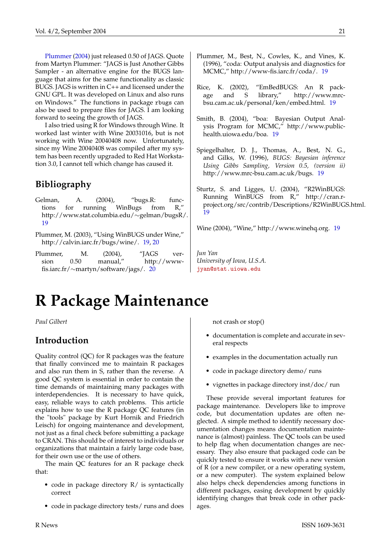[Plummer](#page-20-9) [\(2004\)](#page-20-9) just released 0.50 of JAGS. Quote from Martyn Plummer: "JAGS is Just Another Gibbs Sampler - an alternative engine for the BUGS language that aims for the same functionality as classic BUGS. JAGS is written in C++ and licensed under the GNU GPL. It was developed on Linux and also runs on Windows." The functions in package rbugs can also be used to prepare files for JAGS. I am looking forward to seeing the growth of JAGS.

I also tried using R for Windows through Wine. It worked last winter with Wine 20031016, but is not working with Wine 20040408 now. Unfortunately, since my Wine 20040408 was compiled after my system has been recently upgraded to Red Hat Workstation 3.0, I cannot tell which change has caused it.

## **Bibliography**

- <span id="page-20-3"></span>Gelman, A. (2004), "bugs.R: functions for running WinBugs from R," http://www.stat.columbia.edu/∼gelman/bugsR/. [19](#page-18-1)
- <span id="page-20-5"></span>Plummer, M. (2003), "Using WinBUGS under Wine," http://calvin.iarc.fr/bugs/wine/. [19,](#page-18-1) [20](#page-19-0)
- <span id="page-20-9"></span>Plummer, M. (2004), "JAGS version 0.50 manual," http://wwwfis.iarc.fr/∼martyn/software/jags/. [20](#page-19-0)
- <span id="page-20-8"></span>Plummer, M., Best, N., Cowles, K., and Vines, K. (1996), "coda: Output analysis and diagnostics for MCMC," http://www-fis.iarc.fr/coda/. [19](#page-18-1)
- <span id="page-20-2"></span>Rice, K. (2002), "EmBedBUGS: An R package and S library," http://www.mrcbsu.cam.ac.uk/personal/ken/embed.html. [19](#page-18-1)
- <span id="page-20-7"></span>Smith, B. (2004), "boa: Bayesian Output Analysis Program for MCMC," http://www.publichealth.uiowa.edu/boa. [19](#page-18-1)
- <span id="page-20-1"></span>Spiegelhalter, D. J., Thomas, A., Best, N. G., and Gilks, W. (1996), *BUGS: Bayesian inference Using Gibbs Sampling, Version 0.5, (version ii)* http://www.mrc-bsu.cam.ac.uk/bugs. [19](#page-18-1)
- <span id="page-20-4"></span>Sturtz, S. and Ligges, U. (2004), "R2WinBUGS: Running WinBUGS from R," http://cran.rproject.org/src/contrib/Descriptions/R2WinBUGS.html. [19](#page-18-1)

<span id="page-20-6"></span>Wine (2004), "Wine," http://www.winehq.org. [19](#page-18-1)

*Jun Yan University of Iowa, U.S.A.* [jyan@stat.uiowa.edu](mailto:jyan@stat.uiowa.edu)

# **R Package Maintenance**

<span id="page-20-0"></span>*Paul Gilbert*

### **Introduction**

Quality control (QC) for R packages was the feature that finally convinced me to maintain R packages and also run them in S, rather than the reverse. A good QC system is essential in order to contain the time demands of maintaining many packages with interdependencies. It is necessary to have quick, easy, reliable ways to catch problems. This article explains how to use the R package QC features (in the "tools" package by Kurt Hornik and Friedrich Leisch) for ongoing maintenance and development, not just as a final check before submitting a package to CRAN. This should be of interest to individuals or organizations that maintain a fairly large code base, for their own use or the use of others.

The main QC features for an R package check that:

- code in package directory R/ is syntactically correct
- code in package directory tests/ runs and does

not crash or stop()

- documentation is complete and accurate in several respects
- examples in the documentation actually run
- code in package directory demo/ runs
- vignettes in package directory inst/doc/ run

These provide several important features for package maintenance. Developers like to improve code, but documentation updates are often neglected. A simple method to identify necessary documentation changes means documentation maintenance is (almost) painless. The QC tools can be used to help flag when documentation changes are necessary. They also ensure that packaged code can be quickly tested to ensure it works with a new version of R (or a new compiler, or a new operating system, or a new computer). The system explained below also helps check dependencies among functions in different packages, easing development by quickly identifying changes that break code in other packages.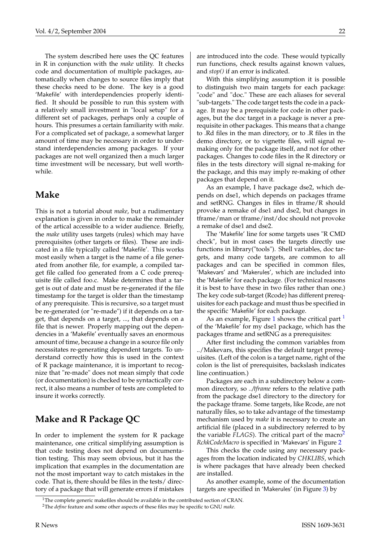The system described here uses the QC features in R in conjunction with the *make* utility. It checks code and documentation of multiple packages, automatically when changes to source files imply that these checks need to be done. The key is a good 'Makefile' with interdependencies properly identified. It should be possible to run this system with a relatively small investment in "local setup" for a different set of packages, perhaps only a couple of hours. This presumes a certain familiarity with *make*. For a complicated set of package, a somewhat larger amount of time may be necessary in order to understand interdependencies among packages. If your packages are not well organized then a much larger time investment will be necessary, but well worthwhile.

### **Make**

This is not a tutorial about *make*, but a rudimentary explanation is given in order to make the remainder of the artical accessible to a wider audience. Briefly, the *make* utility uses targets (rules) which may have prerequisites (other targets or files). These are indicated in a file typically called 'Makefile'. This works most easily when a target is the name of a file generated from another file, for example, a compiled target file called foo generated from a C code prerequisite file called foo.c. Make determines that a target is out of date and must be re-generated if the file timestamp for the target is older than the timestamp of any prerequisite. This is recursive, so a target must be re-generated (or "re-made") if it depends on a target, that depends on a target, ..., that depends on a file that is newer. Properly mapping out the dependencies in a 'Makefile' eventually saves an enormous amount of time, because a change in a source file only necessitates re-generating dependent targets. To understand correctly how this is used in the context of R package maintenance, it is important to recognize that "re-made" does not mean simply that code (or documentation) is checked to be syntactically correct, it also means a number of tests are completed to insure it works correctly.

## **Make and R Package QC**

In order to implement the system for R package maintenance, one critical simplifying assumption is that code testing does not depend on documentation testing. This may seem obvious, but it has the implication that examples in the documentation are not the most important way to catch mistakes in the code. That is, there should be files in the tests/ directory of a package that will generate errors if mistakes are introduced into the code. These would typically run functions, check results against known values, and *stop()* if an error is indicated.

With this simplifying assumption it is possible to distinguish two main targets for each package: "code" and "doc." These are each aliases for several "sub-targets." The code target tests the code in a package. It may be a prerequisite for code in other packages, but the doc target in a package is never a prerequisite in other packages. This means that a change to .Rd files in the man directory, or to .R files in the demo directory, or to vignette files, will signal remaking only for the package itself, and not for other packages. Changes to code files in the R directory or files in the tests directory will signal re-making for the package, and this may imply re-making of other packages that depend on it.

As an example, I have package dse2, which depends on dse1, which depends on packages tframe and setRNG. Changes in files in tframe/R should provoke a remake of dse1 and dse2, but changes in tframe/man or tframe/inst/doc should not provoke a remake of dse1 and dse2.

The 'Makefile' line for some targets uses "R CMD check", but in most cases the targets directly use functions in library("tools"). Shell variables, doc targets, and many code targets, are common to all packages and can be specified in common files, 'Makevars' and 'Makerules', which are included into the 'Makefile' for each package. (For technical reasons it is best to have these in two files rather than one.) The key code sub-target (Rcode) has different prerequisites for each package and must thus be specified in the specific 'Makefile' for each package.

As an example, Figure [1](#page-21-0) shows the critical part  $<sup>1</sup>$ </sup> of the 'Makefile' for my dse1 package, which has the packages tframe and setRNG as a prerequisites:

After first including the common variables from ../Makevars, this specifies the default target prerequisites. (Left of the colon is a target name, right of the colon is the list of prerequisites, backslash indicates line continuation.)

Packages are each in a subdirectory below a common directory, so *../tframe* refers to the relative path from the package dse1 directory to the directory for the package tframe. Some targets, like Rcode, are not naturally files, so to take advantage of the timestamp mechanism used by *make* it is necessary to create an artificial file (placed in a subdirectory referred to by the variable *FLAGS*). The critical part of the macro<sup>[2](#page-21-1)</sup> *RchkCodeMacro* is specified in 'Makevars' in Figure [2](#page-22-1)

This checks the code using any necessary packages from the location indicated by *CHKLIBS*, which is where packages that have already been checked are installed.

As another example, some of the documentation targets are specified in 'Makerules' (in Figure [3\)](#page-22-2) by

<span id="page-21-0"></span><sup>&</sup>lt;sup>1</sup>The complete generic makefiles should be available in the contributed section of CRAN.

<span id="page-21-1"></span><sup>2</sup>The *define* feature and some other aspects of these files may be specific to GNU *make*.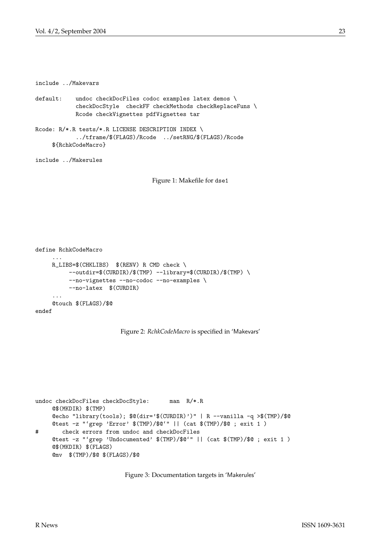include ../Makevars

```
default: undoc checkDocFiles codoc examples latex demos \
           checkDocStyle checkFF checkMethods checkReplaceFuns \
           Rcode checkVignettes pdfVignettes tar
```
Rcode: R/\*.R tests/\*.R LICENSE DESCRIPTION INDEX \ ../tframe/\$(FLAGS)/Rcode ../setRNG/\$(FLAGS)/Rcode \${RchkCodeMacro}

<span id="page-22-0"></span>include ../Makerules

Figure 1: Makefile for dse1

```
define RchkCodeMacro
     ...
    R_LIBS=$(CHKLIBS) $(RENV) R CMD check \
         --outdir=$(CURDIR)/$(TMP) --library=$(CURDIR)/$(TMP) \
          --no-vignettes --no-codoc --no-examples \
          --no-latex $(CURDIR)
     ...
    @touch $(FLAGS)/$@
endef
```
Figure 2: *RchkCodeMacro* is specified in 'Makevars'

```
undoc checkDocFiles checkDocStyle: man R/*.R
    @$(MKDIR) $(TMP)
    @echo "library(tools); $@(dir='$(CURDIR)')" | R --vanilla -q >$(TMP)/$@
    @test -z "'grep 'Error' $(TMP)/$@'" || (cat $(TMP)/$@ ; exit 1 )
# check errors from undoc and checkDocFiles
    @test -z "'grep 'Undocumented' $(TMP)/$@'" || (cat $(TMP)/$@ ; exit 1 )
    @$(MKDIR) $(FLAGS)
     @mv $(TMP)/$@ $(FLAGS)/$@
```
Figure 3: Documentation targets in 'Makerules'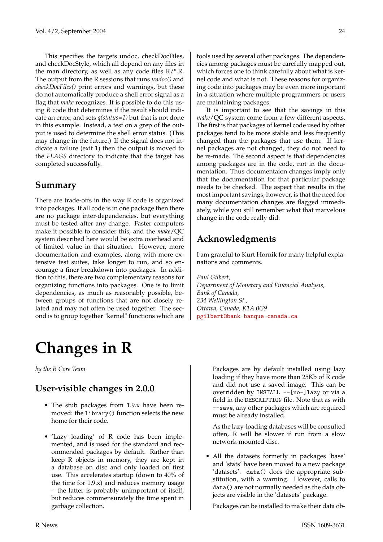This specifies the targets undoc, checkDocFiles, and checkDocStyle, which all depend on any files in the man directory, as well as any code files  $R/*R$ . The output from the R sessions that runs *undoc()* and *checkDocFiles()* print errors and warnings, but these do not automatically produce a shell error signal as a flag that *make* recognizes. It is possible to do this using *R* code that determines if the result should indicate an error, and sets *q(status=1)* but that is not done in this example. Instead, a test on a grep of the output is used to determine the shell error status. (This may change in the future.) If the signal does not indicate a failure (exit 1) then the output is moved to the *FLAGS* directory to indicate that the target has completed successfully.

### **Summary**

There are trade-offs in the way R code is organized into packages. If all code is in one package then there are no package inter-dependencies, but everything must be tested after any change. Faster computers make it possible to consider this, and the *make*/QC system described here would be extra overhead and of limited value in that situation. However, more documentation and examples, along with more extensive test suites, take longer to run, and so encourage a finer breakdown into packages. In addition to this, there are two complementary reasons for organizing functions into packages. One is to limit dependencies, as much as reasonably possible, between groups of functions that are not closely related and may not often be used together. The second is to group together "kernel" functions which are

# **Changes in R**

<span id="page-23-0"></span>*by the R Core Team*

# **User-visible changes in 2.0.0**

- The stub packages from 1.9.x have been removed: the library() function selects the new home for their code.
- 'Lazy loading' of R code has been implemented, and is used for the standard and recommended packages by default. Rather than keep R objects in memory, they are kept in a database on disc and only loaded on first use. This accelerates startup (down to 40% of the time for 1.9.x) and reduces memory usage – the latter is probably unimportant of itself, but reduces commensurately the time spent in garbage collection.

tools used by several other packages. The dependencies among packages must be carefully mapped out, which forces one to think carefully about what is kernel code and what is not. These reasons for organizing code into packages may be even more important in a situation where multiple programmers or users are maintaining packages.

It is important to see that the savings in this *make*/QC system come from a few different aspects. The first is that packages of kernel code used by other packages tend to be more stable and less frequently changed than the packages that use them. If kernel packages are not changed, they do not need to be re-made. The second aspect is that dependencies among packages are in the code, not in the documentation. Thus documentaion changes imply only that the documentation for that particular package needs to be checked. The aspect that results in the most important savings, however, is that the need for many documentation changes are flagged immediately, while you still remember what that marvelous change in the code really did.

## **Acknowledgments**

I am grateful to Kurt Hornik for many helpful explanations and comments.

*Paul Gilbert, Department of Monetary and Financial Analysis, Bank of Canada, 234 Wellington St., Ottawa, Canada, K1A 0G9* [pgilbert@bank-banque-canada.ca](mailto:pgilbert@bank-banque-canada.ca)

> Packages are by default installed using lazy loading if they have more than 25Kb of R code and did not use a saved image. This can be overridden by INSTALL --[no-]lazy or via a field in the DESCRIPTION file. Note that as with --save, any other packages which are required must be already installed.

> As the lazy-loading databases will be consulted often, R will be slower if run from a slow network-mounted disc.

• All the datasets formerly in packages 'base' and 'stats' have been moved to a new package 'datasets'. data() does the appropriate substitution, with a warning. However, calls to data() are not normally needed as the data objects are visible in the 'datasets' package.

Packages can be installed to make their data ob-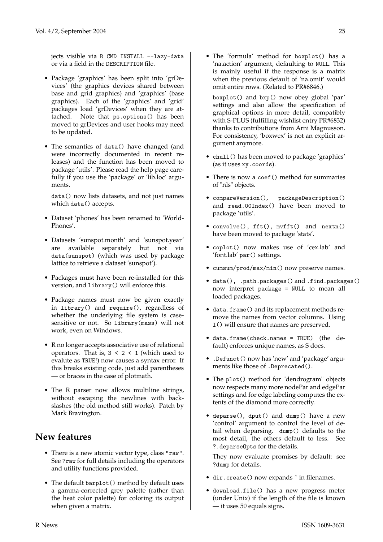jects visible via R CMD INSTALL --lazy-data or via a field in the DESCRIPTION file.

- Package 'graphics' has been split into 'grDevices' (the graphics devices shared between base and grid graphics) and 'graphics' (base graphics). Each of the 'graphics' and 'grid' packages load 'grDevices' when they are attached. Note that ps.options() has been moved to grDevices and user hooks may need to be updated.
- The semantics of data() have changed (and were incorrectly documented in recent releases) and the function has been moved to package 'utils'. Please read the help page carefully if you use the 'package' or 'lib.loc' arguments.

data() now lists datasets, and not just names which data() accepts.

- Dataset 'phones' has been renamed to 'World-Phones'.
- Datasets 'sunspot.month' and 'sunspot.year' are available separately but not via data(sunspot) (which was used by package lattice to retrieve a dataset 'sunspot').
- Packages must have been re-installed for this version, and library() will enforce this.
- Package names must now be given exactly in library() and require(), regardless of whether the underlying file system is casesensitive or not. So library(mass) will not work, even on Windows.
- R no longer accepts associative use of relational operators. That is,  $3 < 2 < 1$  (which used to evalute as TRUE!) now causes a syntax error. If this breaks existing code, just add parentheses — or braces in the case of plotmath.
- The R parser now allows multiline strings, without escaping the newlines with backslashes (the old method still works). Patch by Mark Bravington.

### **New features**

- There is a new atomic vector type, class "raw". See ?raw for full details including the operators and utility functions provided.
- The default barplot() method by default uses a gamma-corrected grey palette (rather than the heat color palette) for coloring its output when given a matrix.

• The 'formula' method for boxplot() has a 'na.action' argument, defaulting to NULL. This is mainly useful if the response is a matrix when the previous default of 'na.omit' would omit entire rows. (Related to PR#6846.)

boxplot() and bxp() now obey global 'par' settings and also allow the specification of graphical options in more detail, compatibly with S-PLUS (fulfilling wishlist entry PR#6832) thanks to contributions from Arni Magnusson. For consistency, 'boxwex' is not an explicit argument anymore.

- chull() has been moved to package 'graphics' (as it uses xy.coords).
- There is now a coef () method for summaries of "nls" objects.
- compareVersion(), packageDescription() and read.00Index() have been moved to package 'utils'.
- convolve(), fft(), mvfft() and nextn() have been moved to package 'stats'.
- coplot() now makes use of 'cex.lab' and 'font.lab' par() settings.
- cumsum/prod/max/min() now preserve names.
- data(), .path.packages() and .find.packages() now interpret package = NULL to mean all loaded packages.
- data.frame() and its replacement methods remove the names from vector columns. Using I() will ensure that names are preserved.
- data.frame(check.names = TRUE) (the default) enforces unique names, as S does.
- .Defunct() now has 'new' and 'package' arguments like those of .Deprecated().
- The plot() method for "dendrogram" objects now respects many more nodePar and edgePar settings and for edge labeling computes the extents of the diamond more correctly.
- deparse(), dput() and dump() have a new 'control' argument to control the level of detail when deparsing. dump() defaults to the most detail, the others default to less. See ?.deparseOpts for the details.

They now evaluate promises by default: see ?dump for details.

- dir.create() now expands  $\tilde{ }$  in filenames.
- download.file() has a new progress meter (under Unix) if the length of the file is known — it uses 50 equals signs.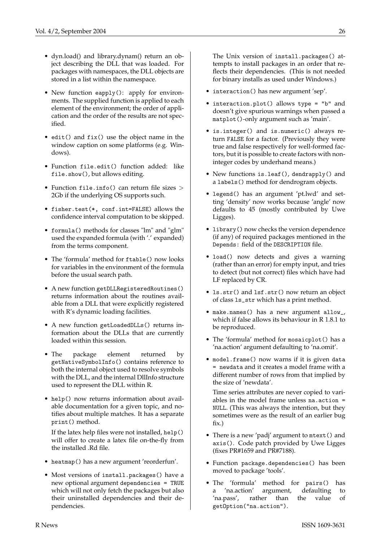- dyn.load() and library.dynam() return an object describing the DLL that was loaded. For packages with namespaces, the DLL objects are stored in a list within the namespace.
- New function eapply(): apply for environments. The supplied function is applied to each element of the environment; the order of application and the order of the results are not specified.
- edit() and fix() use the object name in the window caption on some platforms (e.g. Windows).
- Function file.edit() function added: like file.show(), but allows editing.
- Function file.info() can return file sizes > 2Gb if the underlying OS supports such.
- fisher.test(\*, conf.int=FALSE) allows the confidence interval computation to be skipped.
- formula() methods for classes "lm" and "glm" used the expanded formula (with '.' expanded) from the terms component.
- The 'formula' method for ftable() now looks for variables in the environment of the formula before the usual search path.
- A new function getDLLRegisteredRoutines() returns information about the routines available from a DLL that were explicitly registered with R's dynamic loading facilities.
- A new function getLoadedDLLs() returns information about the DLLs that are currently loaded within this session.
- The package element returned by getNativeSymbolInfo() contains reference to both the internal object used to resolve symbols with the DLL, and the internal DllInfo structure used to represent the DLL within R.
- help() now returns information about available documentation for a given topic, and notifies about multiple matches. It has a separate print() method.

If the latex help files were not installed, help() will offer to create a latex file on-the-fly from the installed .Rd file.

- heatmap() has a new argument 'reorderfun'.
- Most versions of install.packages() have a new optional argument dependencies = TRUE which will not only fetch the packages but also their uninstalled dependencies and their dependencies.

The Unix version of install.packages() attempts to install packages in an order that reflects their dependencies. (This is not needed for binary installs as used under Windows.)

- interaction() has new argument 'sep'.
- interaction.plot() allows type = "b" and doesn't give spurious warnings when passed a matplot()-only argument such as 'main'.
- is.integer() and is.numeric() always return FALSE for a factor. (Previously they were true and false respectively for well-formed factors, but it is possible to create factors with noninteger codes by underhand means.)
- New functions is.leaf(), dendrapply() and a labels() method for dendrogram objects.
- legend() has an argument 'pt.lwd' and setting 'density' now works because 'angle' now defaults to 45 (mostly contributed by Uwe Ligges).
- library() now checks the version dependence (if any) of required packages mentioned in the Depends: field of the DESCRIPTION file.
- load() now detects and gives a warning (rather than an error) for empty input, and tries to detect (but not correct) files which have had LF replaced by CR.
- ls.str() and lsf.str() now return an object of class ls\_str which has a print method.
- make.names() has a new argument allow\_, which if false allows its behaviour in R 1.8.1 to be reproduced.
- The 'formula' method for mosaicplot() has a 'na.action' argument defaulting to 'na.omit'.
- model.frame() now warns if it is given data = newdata and it creates a model frame with a different number of rows from that implied by the size of 'newdata'.

Time series attributes are never copied to variables in the model frame unless na.action = NULL. (This was always the intention, but they sometimes were as the result of an earlier bug fix.)

- There is a new 'padj' argument to mtext() and axis(). Code patch provided by Uwe Ligges (fixes PR#1659 and PR#7188).
- Function package.dependencies() has been moved to package 'tools'.
- The 'formula' method for pairs() has a 'na.action' argument, defaulting to 'na.pass', rather than the value of getOption("na.action").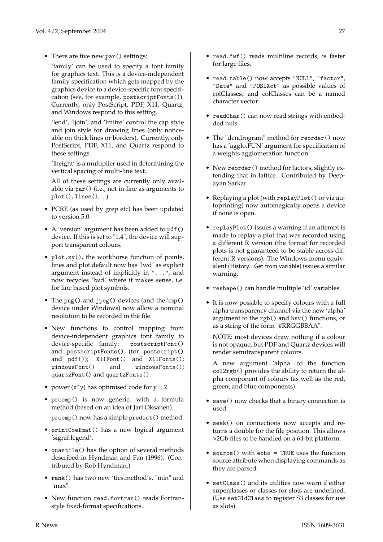• There are five new par () settings:

'family' can be used to specify a font family for graphics text. This is a device-independent family specification which gets mapped by the graphics device to a device-specific font specification (see, for example, postscriptFonts()). Currently, only PostScript, PDF, X11, Quartz, and Windows respond to this setting.

'lend', 'ljoin', and 'lmitre' control the cap style and join style for drawing lines (only noticeable on thick lines or borders). Currently, only PostScript, PDF, X11, and Quartz respond to these settings.

'lheight' is a multiplier used in determining the vertical spacing of multi-line text.

All of these settings are currently only available via par() (i.e., not in-line as arguments to  $plot(), lines(), ...)$ 

- PCRE (as used by grep etc) has been updated to version 5.0.
- A 'version' argument has been added to pdf () device. If this is set to "1.4", the device will support transparent colours.
- plot.xy(), the workhorse function of points, lines and plot.default now has 'lwd' as explicit argument instead of implicitly in "...", and now recycles 'lwd' where it makes sense, i.e. for line based plot symbols.
- The png() and jpeg() devices (and the bmp() device under Windows) now allow a nominal resolution to be recorded in the file.
- New functions to control mapping from device-independent graphics font family to device-specific family: postscriptFont() and postscriptFonts() (for postscript() and pdf()); X11Font() and X11Fonts(); windowsFont() and windowsFonts(); quartzFont() and quartzFonts().
- power  $(x^y)$  has optimised code for  $y = 2$ .
- prcomp() is now generic, with a formula method (based on an idea of Jari Oksanen). prcomp() now has a simple predict() method.
- printCoefmat() has a new logical argument 'signif.legend'.
- quantile() has the option of several methods described in Hyndman and Fan (1996). (Contributed by Rob Hyndman.)
- rank() has two new 'ties.method's, "min" and "max".
- New function read.fortran() reads Fortranstyle fixed-format specifications.
- read.fwf() reads multiline records, is faster for large files.
- read.table() now accepts "NULL", "factor", "Date" and "POSIXct" as possible values of colClasses, and colClasses can be a named character vector.
- readChar() can now read strings with embedded nuls.
- The "dendrogram" method for reorder() now has a 'agglo.FUN' argument for specification of a weights agglomeration function.
- New reorder() method for factors, slightly extending that in lattice. Contributed by Deepayan Sarkar.
- Replaying a plot (with replayPlot() or via autoprinting) now automagically opens a device if none is open.
- replayPlot() issues a warning if an attempt is made to replay a plot that was recorded using a different R version (the format for recorded plots is not guaranteed to be stable across different R versions). The Windows-menu equivalent (History...Get from variable) issues a similar warning.
- reshape() can handle multiple 'id' variables.
- It is now possible to specify colours with a full alpha transparency channel via the new 'alpha' argument to the rgb() and hsv() functions, or as a string of the form "#RRGGBBAA".

NOTE: most devices draw nothing if a colour is not opaque, but PDF and Quartz devices will render semitransparent colours.

A new argument 'alpha' to the function col2rgb() provides the ability to return the alpha component of colours (as well as the red, green, and blue components).

- save() now checks that a binary connection is used.
- seek() on connections now accepts and returns a double for the file position. This allows >2Gb files to be handled on a 64-bit platform.
- source() with echo = TRUE uses the function source attribute when displaying commands as they are parsed.
- setClass() and its utilities now warn if either superclasses or classes for slots are undefined. (Use setOldClass to register S3 classes for use as slots)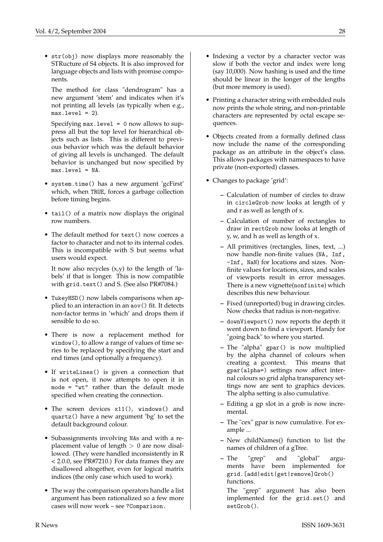• str(obj) now displays more reasonably the STRucture of S4 objects. It is also improved for language objects and lists with promise components.

The method for class "dendrogram" has a new argument 'stem' and indicates when it's not printing all levels (as typically when e.g.,  $max.level = 2$ ).

Specifying max.level = 0 now allows to suppress all but the top level for hierarchical objects such as lists. This is different to previous behavior which was the default behavior of giving all levels is unchanged. The default behavior is unchanged but now specified by max.level = NA.

- system.time() has a new argument 'gcFirst' which, when TRUE, forces a garbage collection before timing begins.
- tail() of a matrix now displays the original row numbers.
- The default method for text() now coerces a factor to character and not to its internal codes. This is incompatible with S but seems what users would expect.

It now also recycles  $(x,y)$  to the length of 'labels' if that is longer. This is now compatible with grid.text() and S. (See also PR#7084.)

- TukeyHSD() now labels comparisons when applied to an interaction in an aov() fit. It detects non-factor terms in 'which' and drops them if sensible to do so.
- There is now a replacement method for window(), to allow a range of values of time series to be replaced by specifying the start and end times (and optionally a frequency).
- If writeLines() is given a connection that is not open, it now attempts to open it in mode = "wt" rather than the default mode specified when creating the connection.
- The screen devices x11(), windows() and quartz() have a new argument 'bg' to set the default background colour.
- Subassignments involving NAs and with a replacement value of length  $> 0$  are now disallowed. (They were handled inconsistently in R < 2.0.0, see PR#7210.) For data frames they are disallowed altogether, even for logical matrix indices (the only case which used to work).
- The way the comparison operators handle a list argument has been rationalized so a few more cases will now work – see ?Comparison.
- Indexing a vector by a character vector was slow if both the vector and index were long (say 10,000). Now hashing is used and the time should be linear in the longer of the lengths (but more memory is used).
- Printing a character string with embedded nuls now prints the whole string, and non-printable characters are represented by octal escape sequences.
- Objects created from a formally defined class now include the name of the corresponding package as an attribute in the object's class. This allows packages with namespaces to have private (non-exported) classes.
- Changes to package 'grid':
	- **–** Calculation of number of circles to draw in circleGrob now looks at length of y and r as well as length of x.
	- **–** Calculation of number of rectangles to draw in rectGrob now looks at length of y, w, and h as well as length of x.
	- **–** All primitives (rectangles, lines, text, ...) now handle non-finite values (NA, Inf, -Inf, NaN) for locations and sizes. Nonfinite values for locations, sizes, and scales of viewports result in error messages. There is a new vignette(nonfinite) which describes this new behaviour.
	- **–** Fixed (unreported) bug in drawing circles. Now checks that radius is non-negative.
	- **–** downViewport() now reports the depth it went down to find a viewport. Handy for "going back" to where you started.
	- **–** The "alpha" gpar() is now multiplied by the alpha channel of colours when creating a gcontext. This means that gpar(alpha=) settings now affect internal colours so grid alpha transparency settings now are sent to graphics devices. The alpha setting is also cumulative.
	- **–** Editing a gp slot in a grob is now incremental.
	- **–** The "cex" gpar is now cumulative. For example ...
	- **–** New childNames() function to list the names of children of a gTree.
	- **–** The "grep" and "global" arguments have been implemented for grid.[add|edit|get|remove]Grob() functions.

The "grep" argument has also been implemented for the grid.set() and setGrob().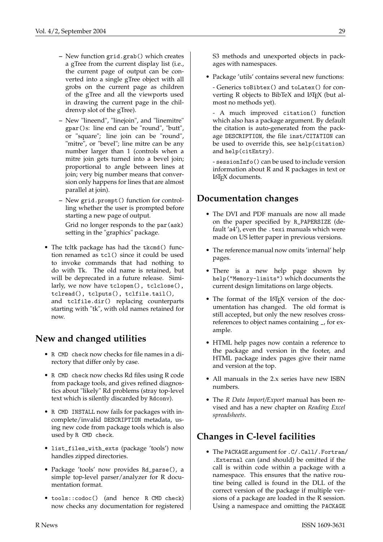- **–** New function grid.grab() which creates a gTree from the current display list (i.e., the current page of output can be converted into a single gTree object with all grobs on the current page as children of the gTree and all the viewports used in drawing the current page in the childrenvp slot of the gTree).
- **–** New "lineend", "linejoin", and "linemitre" gpar()s: line end can be "round", "butt", or "square"; line join can be "round", "mitre", or "bevel"; line mitre can be any number larger than 1 (controls when a mitre join gets turned into a bevel join; proportional to angle between lines at join; very big number means that conversion only happens for lines that are almost parallel at join).
- **–** New grid.prompt() function for controlling whether the user is prompted before starting a new page of output. Grid no longer responds to the par (ask) setting in the "graphics" package.
- The tcltk package has had the tkcmd() function renamed as tcl() since it could be used to invoke commands that had nothing to do with Tk. The old name is retained, but will be deprecated in a future release. Similarly, we now have tclopen(), tclclose(), tclread(), tclputs(), tclfile.tail(), and tclfile.dir() replacing counterparts starting with "tk", with old names retained for now.

# **New and changed utilities**

- R CMD check now checks for file names in a directory that differ only by case.
- R CMD check now checks Rd files using R code from package tools, and gives refined diagnostics about "likely" Rd problems (stray top-level text which is silently discarded by Rdconv).
- R CMD INSTALL now fails for packages with incomplete/invalid DESCRIPTION metadata, using new code from package tools which is also used by R CMD check.
- list\_files\_with\_exts (package 'tools') now handles zipped directories.
- Package 'tools' now provides Rd\_parse(), a simple top-level parser/analyzer for R documentation format.
- tools::codoc() (and hence R CMD check) now checks any documentation for registered

S3 methods and unexported objects in packages with namespaces.

- Package 'utils' contains several new functions:
	- Generics toBibtex() and toLatex() for converting R objects to BibTeX and LATEX (but almost no methods yet).
	- A much improved citation() function which also has a package argument. By default the citation is auto-generated from the package DESCRIPTION, the file inst/CITATION can be used to override this, see help(citation) and help(citEntry).

- sessionInfo() can be used to include version information about R and R packages in text or LATEX documents.

## **Documentation changes**

- The DVI and PDF manuals are now all made on the paper specified by R\_PAPERSIZE (default 'a4'), even the .texi manuals which were made on US letter paper in previous versions.
- The reference manual now omits 'internal' help pages.
- There is a new help page shown by help("Memory-limits") which documents the current design limitations on large objects.
- The format of the LATEX version of the documentation has changed. The old format is still accepted, but only the new resolves crossreferences to object names containing \_, for example.
- HTML help pages now contain a reference to the package and version in the footer, and HTML package index pages give their name and version at the top.
- All manuals in the 2.x series have new ISBN numbers.
- The *R Data Import/Export* manual has been revised and has a new chapter on *Reading Excel spreadsheets*.

# **Changes in C-level facilities**

• The PACKAGE argument for .C/.Call/.Fortran/ .External can (and should) be omitted if the call is within code within a package with a namespace. This ensures that the native routine being called is found in the DLL of the correct version of the package if multiple versions of a package are loaded in the R session. Using a namespace and omitting the PACKAGE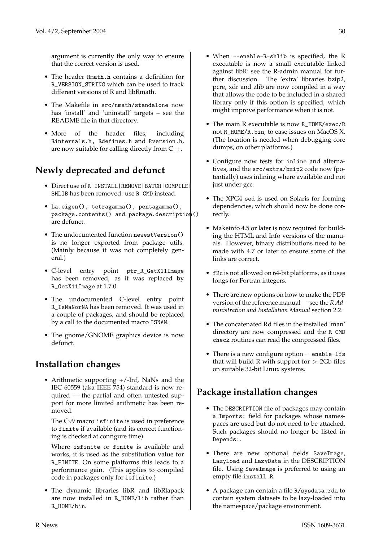argument is currently the only way to ensure that the correct version is used.

- The header Rmath.h contains a definition for R\_VERSION\_STRING which can be used to track different versions of R and libRmath.
- The Makefile in src/nmath/standalone now has 'install' and 'uninstall' targets – see the README file in that directory.
- More of the header files, including Rinternals.h, Rdefines.h and Rversion.h, are now suitable for calling directly from C++.

## **Newly deprecated and defunct**

- Direct use of R INSTALL|REMOVE|BATCH|COMPILE| SHLIB has been removed: use R CMD instead.
- La.eigen(), tetragamma(), pentagamma(), package.contents() and package.description() are defunct.
- The undocumented function newestVersion() is no longer exported from package utils. (Mainly because it was not completely general.)
- C-level entry point ptr\_R\_GetX11Image has been removed, as it was replaced by R\_GetX11Image at 1.7.0.
- The undocumented C-level entry point R\_IsNaNorNA has been removed. It was used in a couple of packages, and should be replaced by a call to the documented macro ISNAN.
- The gnome/GNOME graphics device is now defunct.

## **Installation changes**

• Arithmetic supporting  $+/-$ Inf, NaNs and the IEC 60559 (aka IEEE 754) standard is now required — the partial and often untested support for more limited arithmetic has been removed.

The C99 macro isfinite is used in preference to finite if available (and its correct functioning is checked at configure time).

Where isfinite or finite is available and works, it is used as the substitution value for R\_FINITE. On some platforms this leads to a performance gain. (This applies to compiled code in packages only for isfinite.)

• The dynamic libraries libR and libRlapack are now installed in R\_HOME/lib rather than R\_HOME/bin.

- When --enable-R-shlib is specified, the R executable is now a small executable linked against libR: see the R-admin manual for further discussion. The 'extra' libraries bzip2, pcre, xdr and zlib are now compiled in a way that allows the code to be included in a shared library only if this option is specified, which might improve performance when it is not.
- The main R executable is now R\_HOME/exec/R not R\_HOME/R.bin, to ease issues on MacOS X. (The location is needed when debugging core dumps, on other platforms.)
- Configure now tests for inline and alternatives, and the src/extra/bzip2 code now (potentially) uses inlining where available and not just under gcc.
- The XPG4 sed is used on Solaris for forming dependencies, which should now be done correctly.
- Makeinfo 4.5 or later is now required for building the HTML and Info versions of the manuals. However, binary distributions need to be made with 4.7 or later to ensure some of the links are correct.
- f2c is not allowed on 64-bit platforms, as it uses longs for Fortran integers.
- There are new options on how to make the PDF version of the reference manual — see the *R Administration and Installation Manual* section 2.2.
- The concatenated Rd files in the installed 'man' directory are now compressed and the R CMD check routines can read the compressed files.
- There is a new configure option --enable-lfs that will build R with support for  $> 2Gb$  files on suitable 32-bit Linux systems.

# **Package installation changes**

- The DESCRIPTION file of packages may contain a Imports: field for packages whose namespaces are used but do not need to be attached. Such packages should no longer be listed in Depends:.
- There are new optional fields SaveImage, LazyLoad and LazyData in the DESCRIPTION file. Using SaveImage is preferred to using an empty file install.R.
- A package can contain a file R/sysdata.rda to contain system datasets to be lazy-loaded into the namespace/package environment.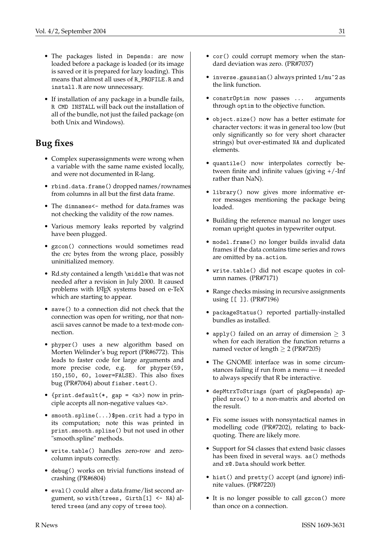- The packages listed in Depends: are now loaded before a package is loaded (or its image is saved or it is prepared for lazy loading). This means that almost all uses of R\_PROFILE.R and install.R are now unnecessary.
- If installation of any package in a bundle fails, R CMD INSTALL will back out the installation of all of the bundle, not just the failed package (on both Unix and Windows).

## **Bug fixes**

- Complex superassignments were wrong when a variable with the same name existed locally, and were not documented in R-lang.
- rbind.data.frame() dropped names/rownames from columns in all but the first data frame.
- The dimnames<- method for data.frames was not checking the validity of the row names.
- Various memory leaks reported by valgrind have been plugged.
- gzcon() connections would sometimes read the crc bytes from the wrong place, possibly uninitialized memory.
- Rd.sty contained a length \middle that was not needed after a revision in July 2000. It caused problems with LAT<sub>E</sub>X systems based on e-TeX which are starting to appear.
- save() to a connection did not check that the connection was open for writing, nor that nonascii saves cannot be made to a text-mode connection.
- phyper() uses a new algorithm based on Morten Welinder's bug report (PR#6772). This leads to faster code for large arguments and more precise code, e.g. for phyper(59, 150,150, 60, lower=FALSE). This also fixes bug (PR#7064) about fisher.test().
- $\{print.default(*, gap = \n\$ ) now in principle accepts all non-negative values <n>.
- smooth.spline(...)\$pen.crit had a typo in its computation; note this was printed in print.smooth.spline() but not used in other "smooth.spline" methods.
- write.table() handles zero-row and zerocolumn inputs correctly.
- debug() works on trivial functions instead of crashing (PR#6804)
- eval() could alter a data.frame/list second argument, so with(trees, Girth[1] <- NA) altered trees (and any copy of trees too).
- cor() could corrupt memory when the standard deviation was zero. (PR#7037)
- inverse.gaussian() always printed 1/mu^2 as the link function.
- constrOptim now passes ... arguments through optim to the objective function.
- object.size() now has a better estimate for character vectors: it was in general too low (but only significantly so for very short character strings) but over-estimated NA and duplicated elements.
- quantile() now interpolates correctly between finite and infinite values (giving +/-Inf rather than NaN).
- library() now gives more informative error messages mentioning the package being loaded.
- Building the reference manual no longer uses roman upright quotes in typewriter output.
- model.frame() no longer builds invalid data frames if the data contains time series and rows are omitted by na.action.
- write.table() did not escape quotes in column names. (PR#7171)
- Range checks missing in recursive assignments using [[ ]]. (PR#7196)
- packageStatus() reported partially-installed bundles as installed.
- apply() failed on an array of dimension  $\geq$  3 when for each iteration the function returns a named vector of length  $> 2$  (PR#7205)
- The GNOME interface was in some circumstances failing if run from a menu — it needed to always specify that R be interactive.
- depMtrxToStrings (part of pkgDepends) applied nrow() to a non-matrix and aborted on the result.
- Fix some issues with nonsyntactical names in modelling code (PR#7202), relating to backquoting. There are likely more.
- Support for S4 classes that extend basic classes has been fixed in several ways. as() methods and x@.Data should work better.
- hist() and pretty() accept (and ignore) infinite values. (PR#7220)
- It is no longer possible to call gzcon() more than once on a connection.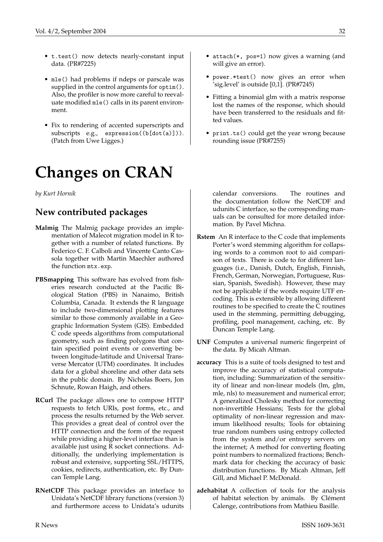- t.test() now detects nearly-constant input data. (PR#7225)
- mle() had problems if ndeps or parscale was supplied in the control arguments for optim(). Also, the profiler is now more careful to reevaluate modified mle() calls in its parent environment.
- Fix to rendering of accented superscripts and subscripts e.g., expression((b[dot(a)])). (Patch from Uwe Ligges.)

# **Changes on CRAN**

<span id="page-31-0"></span>*by Kurt Hornik*

### **New contributed packages**

- **Malmig** The Malmig package provides an implementation of Malecot migration model in R together with a number of related functions. By Federico C. F. Calboli and Vincente Canto Cassola together with Martin Maechler authored the function mtx.exp.
- **PBSmapping** This software has evolved from fisheries research conducted at the Pacific Biological Station (PBS) in Nanaimo, British Columbia, Canada. It extends the R language to include two-dimensional plotting features similar to those commonly available in a Geographic Information System (GIS). Embedded C code speeds algorithms from computational geometry, such as finding polygons that contain specified point events or converting between longitude-latitude and Universal Transverse Mercator (UTM) coordinates. It includes data for a global shoreline and other data sets in the public domain. By Nicholas Boers, Jon Schnute, Rowan Haigh, and others.
- **RCurl** The package allows one to compose HTTP requests to fetch URIs, post forms, etc., and process the results returned by the Web server. This provides a great deal of control over the HTTP connection and the form of the request while providing a higher-level interface than is available just using R socket connections. Additionally, the underlying implementation is robust and extensive, supporting SSL/HTTPS, cookies, redirects, authentication, etc. By Duncan Temple Lang.
- **RNetCDF** This package provides an interface to Unidata's NetCDF library functions (version 3) and furthermore access to Unidata's udunits
- attach(\*, pos=1) now gives a warning (and will give an error).
- power.\*test() now gives an error when 'sig.level' is outside [0,1]. (PR#7245)
- Fitting a binomial glm with a matrix response lost the names of the response, which should have been transferred to the residuals and fitted values.
- print.ts() could get the year wrong because rounding issue (PR#7255)

calendar conversions. The routines and the documentation follow the NetCDF and udunits C interface, so the corresponding manuals can be consulted for more detailed information. By Pavel Michna.

- **Rstem** An R interface to the C code that implements Porter's word stemming algorithm for collapsing words to a common root to aid comparison of texts. There is code to for different languages (i.e., Danish, Dutch, English, Finnish, French, German, Norwegian, Portuguese, Russian, Spanish, Swedish). However, these may not be applicable if the words require UTF encoding. This is extensible by allowing different routines to be specified to create the C routines used in the stemming, permitting debugging, profiling, pool management, caching, etc. By Duncan Temple Lang.
- **UNF** Computes a universal numeric fingerprint of the data. By Micah Altman.
- **accuracy** This is a suite of tools designed to test and improve the accuracy of statistical computation, including: Summarization of the sensitivity of linear and non-linear models (lm, glm, mle, nls) to measurement and numerical error; A generalized Cholesky method for correcting non-invertible Hessians; Tests for the global optimality of non-linear regression and maximum likelihood results; Tools for obtaining true random numbers using entropy collected from the system and/or entropy servers on the internet; A method for converting floating point numbers to normalized fractions; Benchmark data for checking the accuracy of basic distribution functions. By Micah Altman, Jeff Gill, and Michael P. McDonald.
- **adehabitat** A collection of tools for the analysis of habitat selection by animals. By Clément Calenge, contributions from Mathieu Basille.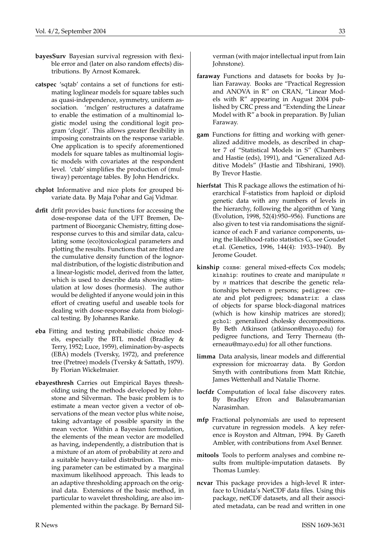- **bayesSurv** Bayesian survival regression with flexible error and (later on also random effects) distributions. By Arnost Komarek.
- **catspec** 'sqtab' contains a set of functions for estimating loglinear models for square tables such as quasi-independence, symmetry, uniform association. 'mclgen' restructures a dataframe to enable the estimation of a multinomial logistic model using the conditional logit program 'clogit'. This allows greater flexibility in imposing constraints on the response variable. One application is to specify aforementioned models for square tables as multinomial logistic models with covariates at the respondent level. 'ctab' simplifies the production of (multiway) percentage tables. By John Hendrickx.
- **chplot** Informative and nice plots for grouped bivariate data. By Maja Pohar and Gaj Vidmar.
- **drfit** drfit provides basic functions for accessing the dose-response data of the UFT Bremen, Department of Bioorganic Chemistry, fitting doseresponse curves to this and similar data, calculating some (eco)toxicological parameters and plotting the results. Functions that are fitted are the cumulative density function of the lognormal distribution, of the logistic distribution and a linear-logistic model, derived from the latter, which is used to describe data showing stimulation at low doses (hormesis). The author would be delighted if anyone would join in this effort of creating useful and useable tools for dealing with dose-response data from biological testing. By Johannes Ranke.
- **eba** Fitting and testing probabilistic choice models, especially the BTL model (Bradley & Terry, 1952; Luce, 1959), elimination-by-aspects (EBA) models (Tversky, 1972), and preference tree (Pretree) models (Tversky & Sattath, 1979). By Florian Wickelmaier.
- **ebayesthresh** Carries out Empirical Bayes thresholding using the methods developed by Johnstone and Silverman. The basic problem is to estimate a mean vector given a vector of observations of the mean vector plus white noise, taking advantage of possible sparsity in the mean vector. Within a Bayesian formulation, the elements of the mean vector are modelled as having, independently, a distribution that is a mixture of an atom of probability at zero and a suitable heavy-tailed distribution. The mixing parameter can be estimated by a marginal maximum likelihood approach. This leads to an adaptive thresholding approach on the original data. Extensions of the basic method, in particular to wavelet thresholding, are also implemented within the package. By Bernard Sil-

verman (with major intellectual input from Iain Johnstone).

- **faraway** Functions and datasets for books by Julian Faraway. Books are "Practical Regression and ANOVA in R" on CRAN, "Linear Models with R" appearing in August 2004 published by CRC press and "Extending the Linear Model with R" a book in preparation. By Julian Faraway.
- **gam** Functions for fitting and working with generalized additive models, as described in chapter 7 of "Statistical Models in S" (Chambers and Hastie (eds), 1991), and "Generalized Additive Models" (Hastie and Tibshirani, 1990). By Trevor Hastie.
- **hierfstat** This R package allows the estimation of hierarchical F-statistics from haploid or diploid genetic data with any numbers of levels in the hierarchy, following the algorithm of Yang (Evolution, 1998, 52(4):950–956). Functions are also given to test via randomisations the significance of each F and variance components, using the likelihood-ratio statistics G, see Goudet et.al. (Genetics, 1996, 144(4): 1933–1940). By Jerome Goudet.
- **kinship** coxme: general mixed-effects Cox models; kinship: routines to create and manipulate *n* by *n* matrices that describe the genetic relationships between *n* persons; pedigree: create and plot pedigrees; bdsmatrix: a class of objects for sparse block-diagonal matrices (which is how kinship matrices are stored); gchol: generalized cholesky decompositions. By Beth Atkinson (atkinson@mayo.edu) for pedigree functions, and Terry Therneau (therneau@mayo.edu) for all other functions.
- **limma** Data analysis, linear models and differential expression for microarray data. By Gordon Smyth with contributions from Matt Ritchie, James Wettenhall and Natalie Thorne.
- **locfdr** Computation of local false discovery rates. By Bradley Efron and Balasubramanian Narasimhan.
- **mfp** Fractional polynomials are used to represent curvature in regression models. A key reference is Royston and Altman, 1994. By Gareth Ambler, with contributions from Axel Benner.
- **mitools** Tools to perform analyses and combine results from multiple-imputation datasets. By Thomas Lumley.
- **ncvar** This package provides a high-level R interface to Unidata's NetCDF data files. Using this package, netCDF datasets, and all their associated metadata, can be read and written in one